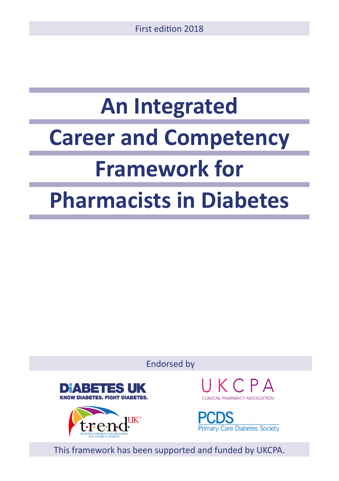# **An Integrated Career and Competency Framework for**

## **Pharmacists in Diabetes**

Endorsed by





 $K \cap P \triangle$ 



This framework has been supported and funded by UKCPA.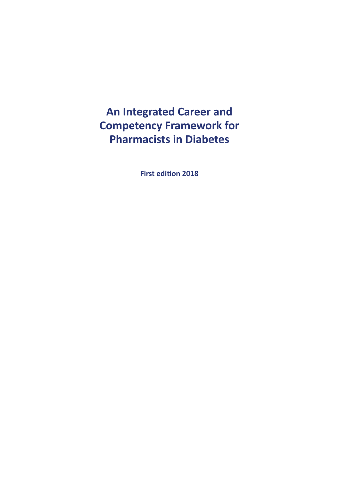## **An Integrated Career and Competency Framework for Pharmacists in Diabetes**

**First edition 2018**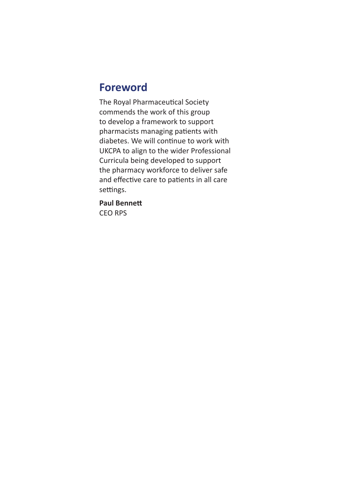## **Foreword**

The Royal Pharmaceutical Society commends the work of this group to develop a framework to support pharmacists managing patients with diabetes. We will continue to work with UKCPA to align to the wider Professional Curricula being developed to support the pharmacy workforce to deliver safe and effective care to patients in all care settings.

**Paul Bennett** CEO RPS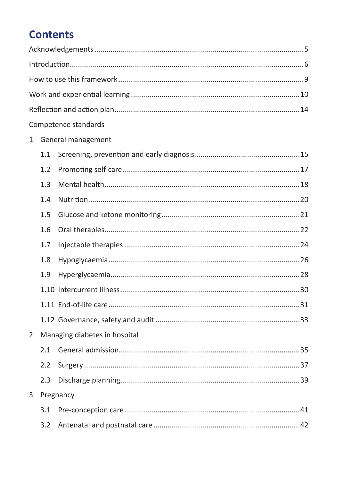## **Contents**

|             |                               | Competence standards |
|-------------|-------------------------------|----------------------|
| $\mathbf 1$ |                               | General management   |
|             | 1.1                           |                      |
|             | 1.2                           |                      |
|             | 1.3                           |                      |
|             | 1.4                           |                      |
|             | 1.5                           |                      |
|             | 1.6                           |                      |
|             | 1.7                           |                      |
|             | 1.8                           |                      |
|             | 1.9                           |                      |
|             |                               |                      |
|             |                               |                      |
|             |                               |                      |
| 2           | Managing diabetes in hospital |                      |
|             | 2.1                           |                      |
|             | 2.2                           |                      |
|             | 2.3                           |                      |
| 3           |                               | Pregnancy            |
|             | 3.1                           |                      |
|             | 3.2                           |                      |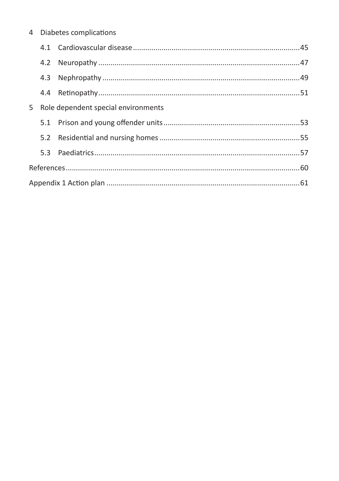| 4 | Diabetes complications |  |
|---|------------------------|--|
|   |                        |  |

|  | 5 Role dependent special environments |  |  |
|--|---------------------------------------|--|--|
|  |                                       |  |  |
|  |                                       |  |  |
|  |                                       |  |  |
|  |                                       |  |  |
|  |                                       |  |  |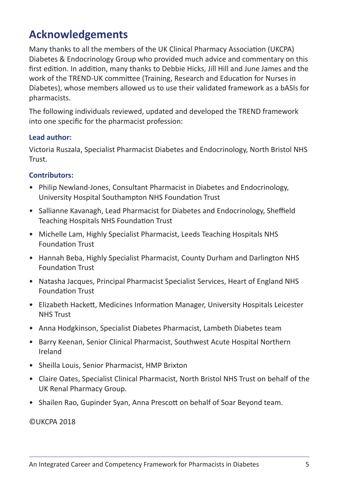## **Acknowledgements**

Many thanks to all the members of the UK Clinical Pharmacy Association (UKCPA) Diabetes & Endocrinology Group who provided much advice and commentary on this first edition. In addition, many thanks to Debbie Hicks, Jill Hill and June James and the work of the TREND-UK committee (Training, Research and Education for Nurses in Diabetes), whose members allowed us to use their validated framework as a bASIs for pharmacists.

The following individuals reviewed, updated and developed the TREND framework into one specific for the pharmacist profession:

#### **Lead author:**

Victoria Ruszala, Specialist Pharmacist Diabetes and Endocrinology, North Bristol NHS **Trust.** 

#### **Contributors:**

- Philip Newland-Jones, Consultant Pharmacist in Diabetes and Endocrinology, University Hospital Southampton NHS Foundation Trust
- Sallianne Kavanagh, Lead Pharmacist for Diabetes and Endocrinology, Sheffield Teaching Hospitals NHS Foundation Trust
- Michelle Lam, Highly Specialist Pharmacist, Leeds Teaching Hospitals NHS Foundation Trust
- Hannah Beba, Highly Specialist Pharmacist, County Durham and Darlington NHS Foundation Trust
- Natasha Jacques, Principal Pharmacist Specialist Services, Heart of England NHS Foundation Trust
- Elizabeth Hackett, Medicines Information Manager, University Hospitals Leicester NHS Trust
- Anna Hodgkinson, Specialist Diabetes Pharmacist, Lambeth Diabetes team
- Barry Keenan, Senior Clinical Pharmacist, Southwest Acute Hospital Northern Ireland
- Sheilla Louis, Senior Pharmacist, HMP Brixton
- Claire Oates, Specialist Clinical Pharmacist, North Bristol NHS Trust on behalf of the UK Renal Pharmacy Group.
- Shailen Rao, Gupinder Syan, Anna Prescott on behalf of Soar Beyond team.

©UKCPA 2018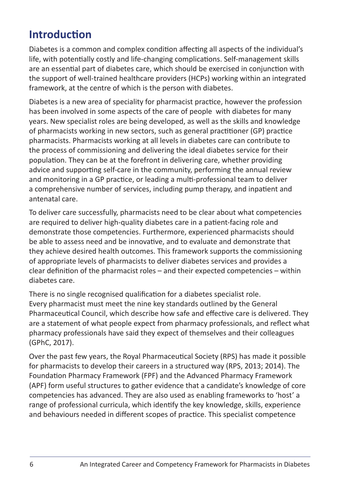## **Introduction**

Diabetes is a common and complex condition affecting all aspects of the individual's life, with potentially costly and life-changing complications. Self-management skills are an essential part of diabetes care, which should be exercised in conjunction with the support of well-trained healthcare providers (HCPs) working within an integrated framework, at the centre of which is the person with diabetes.

Diabetes is a new area of speciality for pharmacist practice, however the profession has been involved in some aspects of the care of people with diabetes for many years. New specialist roles are being developed, as well as the skills and knowledge of pharmacists working in new sectors, such as general practitioner (GP) practice pharmacists. Pharmacists working at all levels in diabetes care can contribute to the process of commissioning and delivering the ideal diabetes service for their population. They can be at the forefront in delivering care, whether providing advice and supporting self-care in the community, performing the annual review and monitoring in a GP practice, or leading a multi-professional team to deliver a comprehensive number of services, including pump therapy, and inpatient and antenatal care.

To deliver care successfully, pharmacists need to be clear about what competencies are required to deliver high-quality diabetes care in a patient-facing role and demonstrate those competencies. Furthermore, experienced pharmacists should be able to assess need and be innovative, and to evaluate and demonstrate that they achieve desired health outcomes. This framework supports the commissioning of appropriate levels of pharmacists to deliver diabetes services and provides a clear definition of the pharmacist roles – and their expected competencies – within diabetes care.

There is no single recognised qualification for a diabetes specialist role. Every pharmacist must meet the nine key standards outlined by the General Pharmaceutical Council, which describe how safe and effective care is delivered. They are a statement of what people expect from pharmacy professionals, and reflect what pharmacy professionals have said they expect of themselves and their colleagues (GPhC, 2017).

Over the past few years, the Royal Pharmaceutical Society (RPS) has made it possible for pharmacists to develop their careers in a structured way (RPS, 2013; 2014). The Foundation Pharmacy Framework (FPF) and the Advanced Pharmacy Framework (APF) form useful structures to gather evidence that a candidate's knowledge of core competencies has advanced. They are also used as enabling frameworks to 'host' a range of professional curricula, which identify the key knowledge, skills, experience and behaviours needed in different scopes of practice. This specialist competence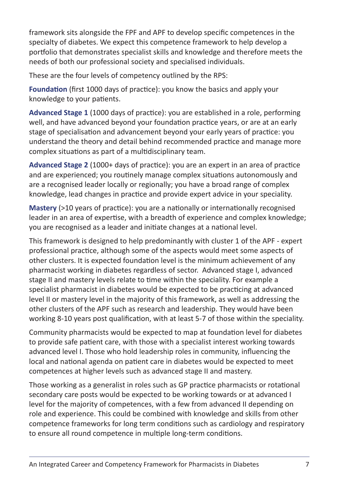framework sits alongside the FPF and APF to develop specific competences in the specialty of diabetes. We expect this competence framework to help develop a portfolio that demonstrates specialist skills and knowledge and therefore meets the needs of both our professional society and specialised individuals.

These are the four levels of competency outlined by the RPS:

**Foundation** (first 1000 days of practice): you know the basics and apply your knowledge to your patients.

**Advanced Stage 1** (1000 days of practice): you are established in a role, performing well, and have advanced beyond your foundation practice years, or are at an early stage of specialisation and advancement beyond your early years of practice: you understand the theory and detail behind recommended practice and manage more complex situations as part of a multidisciplinary team.

**Advanced Stage 2** (1000+ days of practice): you are an expert in an area of practice and are experienced; you routinely manage complex situations autonomously and are a recognised leader locally or regionally; you have a broad range of complex knowledge, lead changes in practice and provide expert advice in your speciality.

**Mastery** (>10 years of practice): you are a nationally or internationally recognised leader in an area of expertise, with a breadth of experience and complex knowledge; you are recognised as a leader and initiate changes at a national level.

This framework is designed to help predominantly with cluster 1 of the APF - expert professional practice, although some of the aspects would meet some aspects of other clusters. It is expected foundation level is the minimum achievement of any pharmacist working in diabetes regardless of sector. Advanced stage I, advanced stage II and mastery levels relate to time within the speciality. For example a specialist pharmacist in diabetes would be expected to be practicing at advanced level II or mastery level in the majority of this framework, as well as addressing the other clusters of the APF such as research and leadership. They would have been working 8-10 years post qualification, with at least 5-7 of those within the speciality.

Community pharmacists would be expected to map at foundation level for diabetes to provide safe patient care, with those with a specialist interest working towards advanced level I. Those who hold leadership roles in community, influencing the local and national agenda on patient care in diabetes would be expected to meet competences at higher levels such as advanced stage II and mastery.

Those working as a generalist in roles such as GP practice pharmacists or rotational secondary care posts would be expected to be working towards or at advanced I level for the majority of competences, with a few from advanced II depending on role and experience. This could be combined with knowledge and skills from other competence frameworks for long term conditions such as cardiology and respiratory to ensure all round competence in multiple long-term conditions.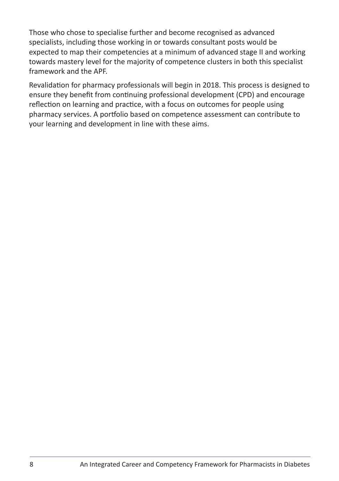Those who chose to specialise further and become recognised as advanced specialists, including those working in or towards consultant posts would be expected to map their competencies at a minimum of advanced stage II and working towards mastery level for the majority of competence clusters in both this specialist framework and the APF.

Revalidation for pharmacy professionals will begin in 2018. This process is designed to ensure they benefit from continuing professional development (CPD) and encourage reflection on learning and practice, with a focus on outcomes for people using pharmacy services. A portfolio based on competence assessment can contribute to your learning and development in line with these aims.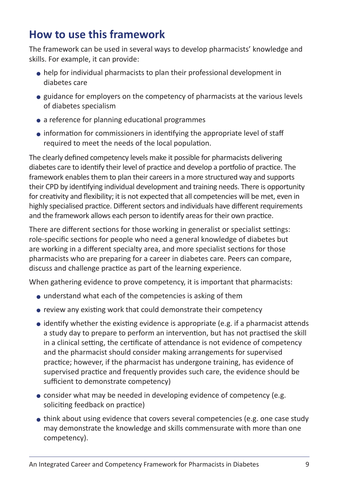## **How to use this framework**

The framework can be used in several ways to develop pharmacists' knowledge and skills. For example, it can provide:

- help for individual pharmacists to plan their professional development in diabetes care
- guidance for employers on the competency of pharmacists at the various levels of diabetes specialism
- a reference for planning educational programmes
- information for commissioners in identifying the appropriate level of staff required to meet the needs of the local population.

The clearly defined competency levels make it possible for pharmacists delivering diabetes care to identify their level of practice and develop a portfolio of practice. The framework enables them to plan their careers in a more structured way and supports their CPD by identifying individual development and training needs. There is opportunity for creativity and flexibility; it is not expected that all competencies will be met, even in highly specialised practice. Different sectors and individuals have different requirements and the framework allows each person to identify areas for their own practice.

There are different sections for those working in generalist or specialist settings: role-specific sections for people who need a general knowledge of diabetes but are working in a different specialty area, and more specialist sections for those pharmacists who are preparing for a career in diabetes care. Peers can compare, discuss and challenge practice as part of the learning experience.

When gathering evidence to prove competency, it is important that pharmacists:

- understand what each of the competencies is asking of them
- review any existing work that could demonstrate their competency
- $\bullet$  identify whether the existing evidence is appropriate (e.g. if a pharmacist attends a study day to prepare to perform an intervention, but has not practised the skill in a clinical setting, the certificate of attendance is not evidence of competency and the pharmacist should consider making arrangements for supervised practice; however, if the pharmacist has undergone training, has evidence of supervised practice and frequently provides such care, the evidence should be sufficient to demonstrate competency)
- consider what may be needed in developing evidence of competency (e.g. soliciting feedback on practice)
- think about using evidence that covers several competencies (e.g. one case study may demonstrate the knowledge and skills commensurate with more than one competency).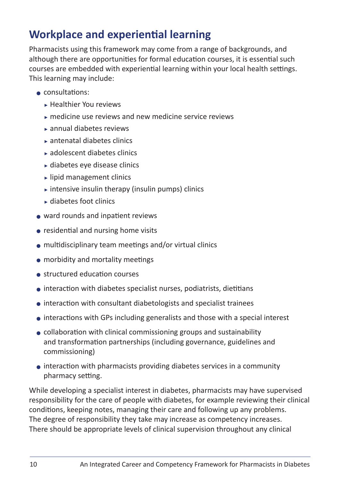## **Workplace and experiential learning**

Pharmacists using this framework may come from a range of backgrounds, and although there are opportunities for formal education courses, it is essential such courses are embedded with experiential learning within your local health settings. This learning may include:

- consultations:
	- $\blacktriangleright$  Healthier You reviews
	- $\sim$  medicine use reviews and new medicine service reviews
	- $\overline{\phantom{a}}$  annual diabetes reviews
	- $\triangleright$  antenatal diabetes clinics
	- <sup>C</sup> adolescent diabetes clinics
	- $\blacktriangleright$  diabetes eye disease clinics
	- $\blacktriangleright$  lipid management clinics
	- $\triangleright$  intensive insulin therapy (insulin pumps) clinics
	- $\blacktriangleright$  diabetes foot clinics
- ward rounds and inpatient reviews
- residential and nursing home visits
- multidisciplinary team meetings and/or virtual clinics
- morbidity and mortality meetings
- structured education courses
- interaction with diabetes specialist nurses, podiatrists, dietitians
- interaction with consultant diabetologists and specialist trainees
- interactions with GPs including generalists and those with a special interest
- collaboration with clinical commissioning groups and sustainability and transformation partnerships (including governance, guidelines and commissioning)
- interaction with pharmacists providing diabetes services in a community pharmacy setting.

While developing a specialist interest in diabetes, pharmacists may have supervised responsibility for the care of people with diabetes, for example reviewing their clinical conditions, keeping notes, managing their care and following up any problems. The degree of responsibility they take may increase as competency increases. There should be appropriate levels of clinical supervision throughout any clinical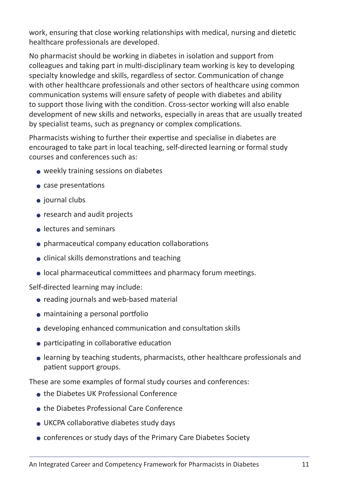work, ensuring that close working relationships with medical, nursing and dietetic healthcare professionals are developed.

No pharmacist should be working in diabetes in isolation and support from colleagues and taking part in multi-disciplinary team working is key to developing specialty knowledge and skills, regardless of sector. Communication of change with other healthcare professionals and other sectors of healthcare using common communication systems will ensure safety of people with diabetes and ability to support those living with the condition. Cross-sector working will also enable development of new skills and networks, especially in areas that are usually treated by specialist teams, such as pregnancy or complex complications.

Pharmacists wishing to further their expertise and specialise in diabetes are encouraged to take part in local teaching, self-directed learning or formal study courses and conferences such as:

- weekly training sessions on diabetes
- case presentations
- journal clubs
- research and audit projects
- lectures and seminars
- pharmaceutical company education collaborations
- clinical skills demonstrations and teaching
- local pharmaceutical committees and pharmacy forum meetings.

Self-directed learning may include:

- reading journals and web-based material
- maintaining a personal portfolio
- developing enhanced communication and consultation skills
- participating in collaborative education
- learning by teaching students, pharmacists, other healthcare professionals and patient support groups.

These are some examples of formal study courses and conferences:

- the Diabetes UK Professional Conference
- the Diabetes Professional Care Conference
- UKCPA collaborative diabetes study days
- conferences or study days of the Primary Care Diabetes Society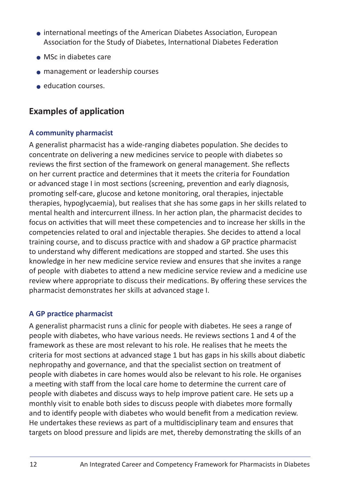- international meetings of the American Diabetes Association, European Association for the Study of Diabetes, International Diabetes Federation
- MSc in diabetes care
- management or leadership courses
- education courses.

## **Examples of application**

#### **A community pharmacist**

A generalist pharmacist has a wide-ranging diabetes population. She decides to concentrate on delivering a new medicines service to people with diabetes so reviews the first section of the framework on general management. She reflects on her current practice and determines that it meets the criteria for Foundation or advanced stage I in most sections (screening, prevention and early diagnosis, promoting self-care, glucose and ketone monitoring, oral therapies, injectable therapies, hypoglycaemia), but realises that she has some gaps in her skills related to mental health and intercurrent illness. In her action plan, the pharmacist decides to focus on activities that will meet these competencies and to increase her skills in the competencies related to oral and injectable therapies. She decides to attend a local training course, and to discuss practice with and shadow a GP practice pharmacist to understand why different medications are stopped and started. She uses this knowledge in her new medicine service review and ensures that she invites a range of people with diabetes to attend a new medicine service review and a medicine use review where appropriate to discuss their medications. By offering these services the pharmacist demonstrates her skills at advanced stage I.

#### **A GP practice pharmacist**

A generalist pharmacist runs a clinic for people with diabetes. He sees a range of people with diabetes, who have various needs. He reviews sections 1 and 4 of the framework as these are most relevant to his role. He realises that he meets the criteria for most sections at advanced stage 1 but has gaps in his skills about diabetic nephropathy and governance, and that the specialist section on treatment of people with diabetes in care homes would also be relevant to his role. He organises a meeting with staff from the local care home to determine the current care of people with diabetes and discuss ways to help improve patient care. He sets up a monthly visit to enable both sides to discuss people with diabetes more formally and to identify people with diabetes who would benefit from a medication review. He undertakes these reviews as part of a multidisciplinary team and ensures that targets on blood pressure and lipids are met, thereby demonstrating the skills of an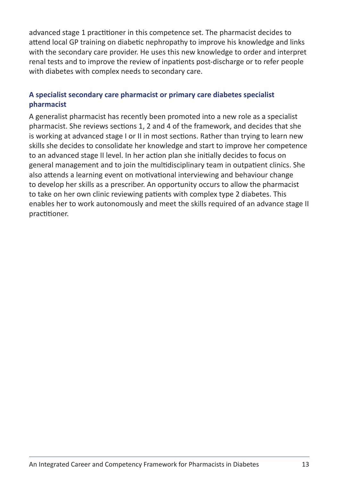advanced stage 1 practitioner in this competence set. The pharmacist decides to attend local GP training on diabetic nephropathy to improve his knowledge and links with the secondary care provider. He uses this new knowledge to order and interpret renal tests and to improve the review of inpatients post-discharge or to refer people with diabetes with complex needs to secondary care.

#### **A specialist secondary care pharmacist or primary care diabetes specialist pharmacist**

A generalist pharmacist has recently been promoted into a new role as a specialist pharmacist. She reviews sections 1, 2 and 4 of the framework, and decides that she is working at advanced stage I or II in most sections. Rather than trying to learn new skills she decides to consolidate her knowledge and start to improve her competence to an advanced stage II level. In her action plan she initially decides to focus on general management and to join the multidisciplinary team in outpatient clinics. She also attends a learning event on motivational interviewing and behaviour change to develop her skills as a prescriber. An opportunity occurs to allow the pharmacist to take on her own clinic reviewing patients with complex type 2 diabetes. This enables her to work autonomously and meet the skills required of an advance stage II practitioner.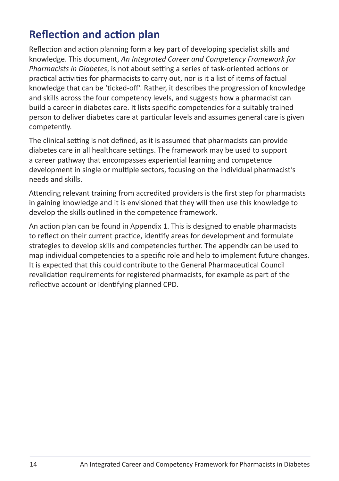## **Reflection and action plan**

Reflection and action planning form a key part of developing specialist skills and knowledge. This document, *An Integrated Career and Competency Framework for Pharmacists in Diabetes*, is not about setting a series of task-oriented actions or practical activities for pharmacists to carry out, nor is it a list of items of factual knowledge that can be 'ticked-off'. Rather, it describes the progression of knowledge and skills across the four competency levels, and suggests how a pharmacist can build a career in diabetes care. It lists specific competencies for a suitably trained person to deliver diabetes care at particular levels and assumes general care is given competently.

The clinical setting is not defined, as it is assumed that pharmacists can provide diabetes care in all healthcare settings. The framework may be used to support a career pathway that encompasses experiential learning and competence development in single or multiple sectors, focusing on the individual pharmacist's needs and skills.

Attending relevant training from accredited providers is the first step for pharmacists in gaining knowledge and it is envisioned that they will then use this knowledge to develop the skills outlined in the competence framework.

An action plan can be found in Appendix 1. This is designed to enable pharmacists to reflect on their current practice, identify areas for development and formulate strategies to develop skills and competencies further. The appendix can be used to map individual competencies to a specific role and help to implement future changes. It is expected that this could contribute to the General Pharmaceutical Council revalidation requirements for registered pharmacists, for example as part of the reflective account or identifying planned CPD.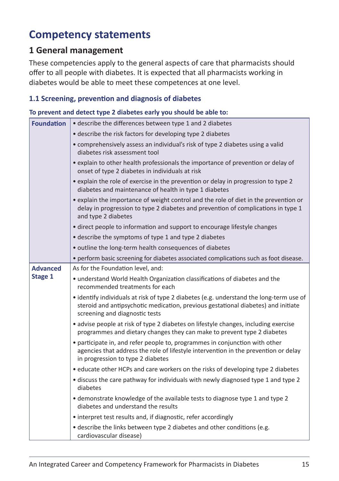## **Competency statements**

#### **1 General management**

These competencies apply to the general aspects of care that pharmacists should offer to all people with diabetes. It is expected that all pharmacists working in diabetes would be able to meet these competences at one level.

#### **1.1 Screening, prevention and diagnosis of diabetes**

#### **To prevent and detect type 2 diabetes early you should be able to:**

| <b>Foundation</b> | • describe the differences between type 1 and 2 diabetes                                                                                                                                                       |
|-------------------|----------------------------------------------------------------------------------------------------------------------------------------------------------------------------------------------------------------|
|                   | • describe the risk factors for developing type 2 diabetes                                                                                                                                                     |
|                   | • comprehensively assess an individual's risk of type 2 diabetes using a valid<br>diabetes risk assessment tool                                                                                                |
|                   | • explain to other health professionals the importance of prevention or delay of<br>onset of type 2 diabetes in individuals at risk                                                                            |
|                   | • explain the role of exercise in the prevention or delay in progression to type 2<br>diabetes and maintenance of health in type 1 diabetes                                                                    |
|                   | • explain the importance of weight control and the role of diet in the prevention or<br>delay in progression to type 2 diabetes and prevention of complications in type 1<br>and type 2 diabetes               |
|                   | • direct people to information and support to encourage lifestyle changes                                                                                                                                      |
|                   | • describe the symptoms of type 1 and type 2 diabetes                                                                                                                                                          |
|                   | · outline the long-term health consequences of diabetes                                                                                                                                                        |
|                   | • perform basic screening for diabetes associated complications such as foot disease.                                                                                                                          |
| <b>Advanced</b>   | As for the Foundation level, and:                                                                                                                                                                              |
| Stage 1           | • understand World Health Organization classifications of diabetes and the<br>recommended treatments for each                                                                                                  |
|                   | • identify individuals at risk of type 2 diabetes (e.g. understand the long-term use of<br>steroid and antipsychotic medication, previous gestational diabetes) and initiate<br>screening and diagnostic tests |
|                   | • advise people at risk of type 2 diabetes on lifestyle changes, including exercise<br>programmes and dietary changes they can make to prevent type 2 diabetes                                                 |
|                   | • participate in, and refer people to, programmes in conjunction with other<br>agencies that address the role of lifestyle intervention in the prevention or delay<br>in progression to type 2 diabetes        |
|                   | • educate other HCPs and care workers on the risks of developing type 2 diabetes                                                                                                                               |
|                   | • discuss the care pathway for individuals with newly diagnosed type 1 and type 2<br>diabetes                                                                                                                  |
|                   | • demonstrate knowledge of the available tests to diagnose type 1 and type 2<br>diabetes and understand the results                                                                                            |
|                   | • interpret test results and, if diagnostic, refer accordingly                                                                                                                                                 |
|                   | • describe the links between type 2 diabetes and other conditions (e.g.<br>cardiovascular disease)                                                                                                             |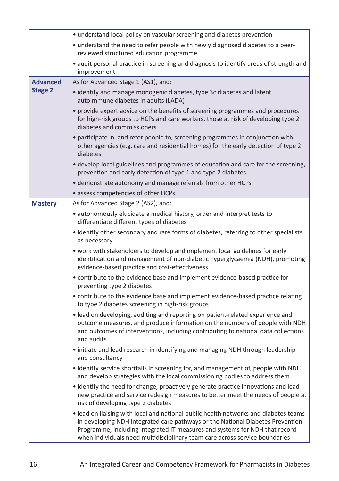|                 | • understand local policy on vascular screening and diabetes prevention                                                                                                                                                                                                                                                              |
|-----------------|--------------------------------------------------------------------------------------------------------------------------------------------------------------------------------------------------------------------------------------------------------------------------------------------------------------------------------------|
|                 | • understand the need to refer people with newly diagnosed diabetes to a peer-<br>reviewed structured education programme                                                                                                                                                                                                            |
|                 | • audit personal practice in screening and diagnosis to identify areas of strength and<br>improvement.                                                                                                                                                                                                                               |
| <b>Advanced</b> | As for Advanced Stage 1 (AS1), and:                                                                                                                                                                                                                                                                                                  |
| <b>Stage 2</b>  | • identify and manage monogenic diabetes, type 3c diabetes and latent<br>autoimmune diabetes in adults (LADA)                                                                                                                                                                                                                        |
|                 | • provide expert advice on the benefits of screening programmes and procedures<br>for high-risk groups to HCPs and care workers, those at risk of developing type 2<br>diabetes and commissioners                                                                                                                                    |
|                 | · participate in, and refer people to, screening programmes in conjunction with<br>other agencies (e.g. care and residential homes) for the early detection of type 2<br>diabetes                                                                                                                                                    |
|                 | • develop local guidelines and programmes of education and care for the screening,<br>prevention and early detection of type 1 and type 2 diabetes                                                                                                                                                                                   |
|                 | • demonstrate autonomy and manage referrals from other HCPs                                                                                                                                                                                                                                                                          |
|                 | • assess competencies of other HCPs.                                                                                                                                                                                                                                                                                                 |
| <b>Mastery</b>  | As for Advanced Stage 2 (AS2), and:                                                                                                                                                                                                                                                                                                  |
|                 | • autonomously elucidate a medical history, order and interpret tests to<br>differentiate different types of diabetes                                                                                                                                                                                                                |
|                 | • identify other secondary and rare forms of diabetes, referring to other specialists<br>as necessary                                                                                                                                                                                                                                |
|                 | • work with stakeholders to develop and implement local guidelines for early<br>identification and management of non-diabetic hyperglycaemia (NDH), promoting<br>evidence-based practice and cost-effectiveness                                                                                                                      |
|                 | • contribute to the evidence base and implement evidence-based practice for<br>preventing type 2 diabetes                                                                                                                                                                                                                            |
|                 | • contribute to the evidence base and implement evidence-based practice relating<br>to type 2 diabetes screening in high-risk groups                                                                                                                                                                                                 |
|                 | • lead on developing, auditing and reporting on patient-related experience and<br>outcome measures, and produce information on the numbers of people with NDH<br>and outcomes of interventions, including contributing to national data collections<br>and audits                                                                    |
|                 | • initiate and lead research in identifying and managing NDH through leadership<br>and consultancy                                                                                                                                                                                                                                   |
|                 | • identify service shortfalls in screening for, and management of, people with NDH<br>and develop strategies with the local commissioning bodies to address them                                                                                                                                                                     |
|                 | • identify the need for change, proactively generate practice innovations and lead<br>new practice and service redesign measures to better meet the needs of people at<br>risk of developing type 2 diabetes                                                                                                                         |
|                 | • lead on liaising with local and national public health networks and diabetes teams<br>in developing NDH integrated care pathways or the National Diabetes Prevention<br>Programme, including integrated IT measures and systems for NDH that record<br>when individuals need multidisciplinary team care across service boundaries |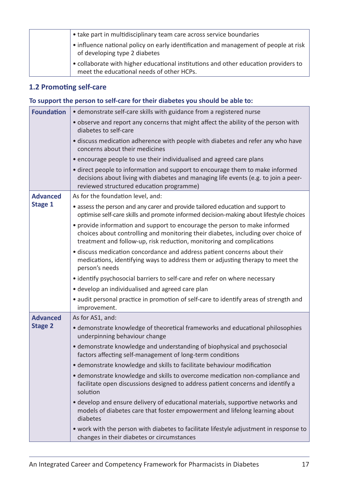| • take part in multidisciplinary team care across service boundaries                                                             |
|----------------------------------------------------------------------------------------------------------------------------------|
| • influence national policy on early identification and management of people at risk<br>of developing type 2 diabetes            |
| • collaborate with higher educational institutions and other education providers to<br>meet the educational needs of other HCPs. |

#### **1.2 Promoting self-care**

#### **To support the person to self-care for their diabetes you should be able to:**

| <b>Foundation</b> | • demonstrate self-care skills with guidance from a registered nurse                                                                                                                                                                     |
|-------------------|------------------------------------------------------------------------------------------------------------------------------------------------------------------------------------------------------------------------------------------|
|                   | . observe and report any concerns that might affect the ability of the person with<br>diabetes to self-care                                                                                                                              |
|                   | • discuss medication adherence with people with diabetes and refer any who have<br>concerns about their medicines                                                                                                                        |
|                   | • encourage people to use their individualised and agreed care plans                                                                                                                                                                     |
|                   | • direct people to information and support to encourage them to make informed<br>decisions about living with diabetes and managing life events (e.g. to join a peer-<br>reviewed structured education programme)                         |
| <b>Advanced</b>   | As for the foundation level, and:                                                                                                                                                                                                        |
| Stage 1           | • assess the person and any carer and provide tailored education and support to<br>optimise self-care skills and promote informed decision-making about lifestyle choices                                                                |
|                   | • provide information and support to encourage the person to make informed<br>choices about controlling and monitoring their diabetes, including over choice of<br>treatment and follow-up, risk reduction, monitoring and complications |
|                   | • discuss medication concordance and address patient concerns about their<br>medications, identifying ways to address them or adjusting therapy to meet the<br>person's needs                                                            |
|                   | • identify psychosocial barriers to self-care and refer on where necessary                                                                                                                                                               |
|                   | • develop an individualised and agreed care plan                                                                                                                                                                                         |
|                   | • audit personal practice in promotion of self-care to identify areas of strength and<br>improvement.                                                                                                                                    |
| <b>Advanced</b>   | As for AS1, and:                                                                                                                                                                                                                         |
| <b>Stage 2</b>    | • demonstrate knowledge of theoretical frameworks and educational philosophies<br>underpinning behaviour change                                                                                                                          |
|                   | • demonstrate knowledge and understanding of biophysical and psychosocial<br>factors affecting self-management of long-term conditions                                                                                                   |
|                   | • demonstrate knowledge and skills to facilitate behaviour modification                                                                                                                                                                  |
|                   | • demonstrate knowledge and skills to overcome medication non-compliance and<br>facilitate open discussions designed to address patient concerns and identify a<br>solution                                                              |
|                   | • develop and ensure delivery of educational materials, supportive networks and<br>models of diabetes care that foster empowerment and lifelong learning about<br>diabetes                                                               |
|                   | . work with the person with diabetes to facilitate lifestyle adjustment in response to<br>changes in their diabetes or circumstances                                                                                                     |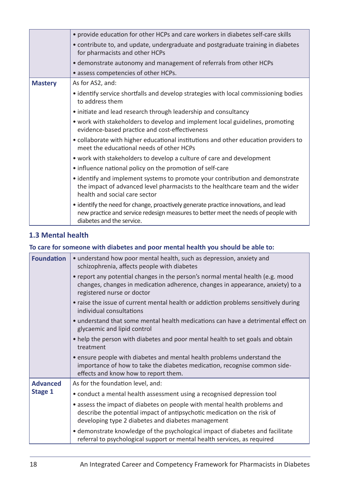|                | • provide education for other HCPs and care workers in diabetes self-care skills<br>• contribute to, and update, undergraduate and postgraduate training in diabetes<br>for pharmacists and other HCPs<br>• demonstrate autonomy and management of referrals from other HCPs<br>• assess competencies of other HCPs. |
|----------------|----------------------------------------------------------------------------------------------------------------------------------------------------------------------------------------------------------------------------------------------------------------------------------------------------------------------|
| <b>Mastery</b> | As for AS2, and:                                                                                                                                                                                                                                                                                                     |
|                | • identify service shortfalls and develop strategies with local commissioning bodies<br>to address them                                                                                                                                                                                                              |
|                | • initiate and lead research through leadership and consultancy                                                                                                                                                                                                                                                      |
|                | • work with stakeholders to develop and implement local guidelines, promoting<br>evidence-based practice and cost-effectiveness                                                                                                                                                                                      |
|                | • collaborate with higher educational institutions and other education providers to<br>meet the educational needs of other HCPs                                                                                                                                                                                      |
|                | • work with stakeholders to develop a culture of care and development                                                                                                                                                                                                                                                |
|                | • influence national policy on the promotion of self-care                                                                                                                                                                                                                                                            |
|                | • identify and implement systems to promote your contribution and demonstrate<br>the impact of advanced level pharmacists to the healthcare team and the wider<br>health and social care sector                                                                                                                      |
|                | • identify the need for change, proactively generate practice innovations, and lead<br>new practice and service redesign measures to better meet the needs of people with<br>diabetes and the service.                                                                                                               |

#### **1.3 Mental health**

#### **To care for someone with diabetes and poor mental health you should be able to:**

| <b>Foundation</b> | • understand how poor mental health, such as depression, anxiety and<br>schizophrenia, affects people with diabetes                                                                                         |
|-------------------|-------------------------------------------------------------------------------------------------------------------------------------------------------------------------------------------------------------|
|                   | • report any potential changes in the person's normal mental health (e.g. mood<br>changes, changes in medication adherence, changes in appearance, anxiety) to a<br>registered nurse or doctor              |
|                   | • raise the issue of current mental health or addiction problems sensitively during<br>individual consultations                                                                                             |
|                   | • understand that some mental health medications can have a detrimental effect on<br>glycaemic and lipid control                                                                                            |
|                   | • help the person with diabetes and poor mental health to set goals and obtain<br>treatment                                                                                                                 |
|                   | • ensure people with diabetes and mental health problems understand the<br>importance of how to take the diabetes medication, recognise common side-<br>effects and know how to report them.                |
| <b>Advanced</b>   | As for the foundation level, and:                                                                                                                                                                           |
| Stage 1           | • conduct a mental health assessment using a recognised depression tool                                                                                                                                     |
|                   | • assess the impact of diabetes on people with mental health problems and<br>describe the potential impact of antipsychotic medication on the risk of<br>developing type 2 diabetes and diabetes management |
|                   | • demonstrate knowledge of the psychological impact of diabetes and facilitate<br>referral to psychological support or mental health services, as required                                                  |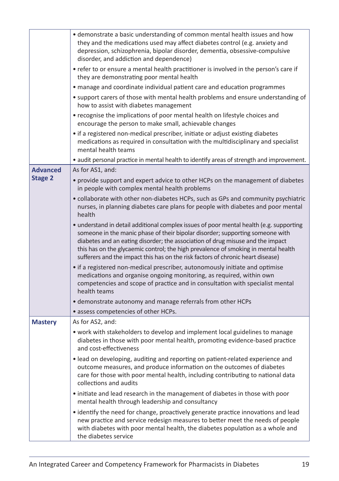|                 | • demonstrate a basic understanding of common mental health issues and how<br>they and the medications used may affect diabetes control (e.g. anxiety and<br>depression, schizophrenia, bipolar disorder, dementia, obsessive-compulsive<br>disorder, and addiction and dependence)<br>• refer to or ensure a mental health practitioner is involved in the person's care if<br>they are demonstrating poor mental health<br>• manage and coordinate individual patient care and education programmes |
|-----------------|-------------------------------------------------------------------------------------------------------------------------------------------------------------------------------------------------------------------------------------------------------------------------------------------------------------------------------------------------------------------------------------------------------------------------------------------------------------------------------------------------------|
|                 | • support carers of those with mental health problems and ensure understanding of<br>how to assist with diabetes management                                                                                                                                                                                                                                                                                                                                                                           |
|                 | • recognise the implications of poor mental health on lifestyle choices and<br>encourage the person to make small, achievable changes                                                                                                                                                                                                                                                                                                                                                                 |
|                 | • if a registered non-medical prescriber, initiate or adjust existing diabetes<br>medications as required in consultation with the multidisciplinary and specialist<br>mental health teams                                                                                                                                                                                                                                                                                                            |
|                 | • audit personal practice in mental health to identify areas of strength and improvement.                                                                                                                                                                                                                                                                                                                                                                                                             |
| <b>Advanced</b> | As for AS1, and:                                                                                                                                                                                                                                                                                                                                                                                                                                                                                      |
| <b>Stage 2</b>  | • provide support and expert advice to other HCPs on the management of diabetes<br>in people with complex mental health problems                                                                                                                                                                                                                                                                                                                                                                      |
|                 | • collaborate with other non-diabetes HCPs, such as GPs and community psychiatric<br>nurses, in planning diabetes care plans for people with diabetes and poor mental<br>health                                                                                                                                                                                                                                                                                                                       |
|                 | • understand in detail additional complex issues of poor mental health (e.g. supporting<br>someone in the manic phase of their bipolar disorder; supporting someone with<br>diabetes and an eating disorder; the association of drug misuse and the impact<br>this has on the glycaemic control; the high prevalence of smoking in mental health<br>sufferers and the impact this has on the risk factors of chronic heart disease)                                                                   |
|                 | • if a registered non-medical prescriber, autonomously initiate and optimise<br>medications and organise ongoing monitoring, as required, within own<br>competencies and scope of practice and in consultation with specialist mental<br>health teams                                                                                                                                                                                                                                                 |
|                 | • demonstrate autonomy and manage referrals from other HCPs                                                                                                                                                                                                                                                                                                                                                                                                                                           |
|                 | • assess competencies of other HCPs.                                                                                                                                                                                                                                                                                                                                                                                                                                                                  |
| <b>Mastery</b>  | As for AS2, and:                                                                                                                                                                                                                                                                                                                                                                                                                                                                                      |
|                 | • work with stakeholders to develop and implement local guidelines to manage<br>diabetes in those with poor mental health, promoting evidence-based practice<br>and cost-effectiveness                                                                                                                                                                                                                                                                                                                |
|                 | • lead on developing, auditing and reporting on patient-related experience and<br>outcome measures, and produce information on the outcomes of diabetes<br>care for those with poor mental health, including contributing to national data<br>collections and audits                                                                                                                                                                                                                                  |
|                 | • initiate and lead research in the management of diabetes in those with poor<br>mental health through leadership and consultancy                                                                                                                                                                                                                                                                                                                                                                     |
|                 | • identify the need for change, proactively generate practice innovations and lead<br>new practice and service redesign measures to better meet the needs of people<br>with diabetes with poor mental health, the diabetes population as a whole and<br>the diabetes service                                                                                                                                                                                                                          |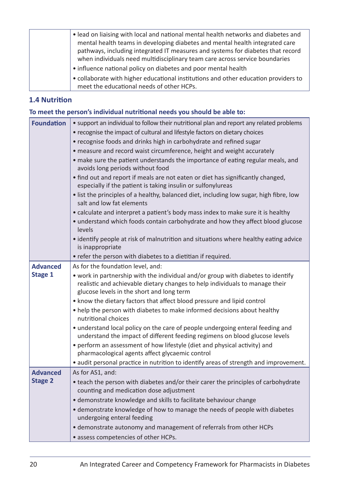| • lead on liaising with local and national mental health networks and diabetes and<br>mental health teams in developing diabetes and mental health integrated care<br>pathways, including integrated IT measures and systems for diabetes that record<br>when individuals need multidisciplinary team care across service boundaries |
|--------------------------------------------------------------------------------------------------------------------------------------------------------------------------------------------------------------------------------------------------------------------------------------------------------------------------------------|
| • influence national policy on diabetes and poor mental health                                                                                                                                                                                                                                                                       |
| • collaborate with higher educational institutions and other education providers to<br>meet the educational needs of other HCPs.                                                                                                                                                                                                     |

#### **1.4 Nutrition**

#### **To meet the person's individual nutritional needs you should be able to:**

| <b>Foundation</b>                 | • support an individual to follow their nutritional plan and report any related problems<br>• recognise the impact of cultural and lifestyle factors on dietary choices<br>• recognise foods and drinks high in carbohydrate and refined sugar<br>· measure and record waist circumference, height and weight accurately<br>• make sure the patient understands the importance of eating regular meals, and<br>avoids long periods without food<br>• find out and report if meals are not eaten or diet has significantly changed,<br>especially if the patient is taking insulin or sulfonylureas<br>· list the principles of a healthy, balanced diet, including low sugar, high fibre, low |
|-----------------------------------|-----------------------------------------------------------------------------------------------------------------------------------------------------------------------------------------------------------------------------------------------------------------------------------------------------------------------------------------------------------------------------------------------------------------------------------------------------------------------------------------------------------------------------------------------------------------------------------------------------------------------------------------------------------------------------------------------|
|                                   | salt and low fat elements<br>• calculate and interpret a patient's body mass index to make sure it is healthy<br>• understand which foods contain carbohydrate and how they affect blood glucose<br>levels<br>• identify people at risk of malnutrition and situations where healthy eating advice<br>is inappropriate<br>• refer the person with diabetes to a dietitian if required.                                                                                                                                                                                                                                                                                                        |
| <b>Advanced</b>                   | As for the foundation level, and:                                                                                                                                                                                                                                                                                                                                                                                                                                                                                                                                                                                                                                                             |
| Stage 1                           | • work in partnership with the individual and/or group with diabetes to identify<br>realistic and achievable dietary changes to help individuals to manage their<br>glucose levels in the short and long term<br>• know the dietary factors that affect blood pressure and lipid control                                                                                                                                                                                                                                                                                                                                                                                                      |
|                                   | • help the person with diabetes to make informed decisions about healthy<br>nutritional choices                                                                                                                                                                                                                                                                                                                                                                                                                                                                                                                                                                                               |
|                                   | • understand local policy on the care of people undergoing enteral feeding and<br>understand the impact of different feeding regimens on blood glucose levels<br>• perform an assessment of how lifestyle (diet and physical activity) and<br>pharmacological agents affect glycaemic control                                                                                                                                                                                                                                                                                                                                                                                                 |
|                                   | • audit personal practice in nutrition to identify areas of strength and improvement.                                                                                                                                                                                                                                                                                                                                                                                                                                                                                                                                                                                                         |
| <b>Advanced</b><br><b>Stage 2</b> | As for AS1, and:<br>• teach the person with diabetes and/or their carer the principles of carbohydrate<br>counting and medication dose adjustment<br>• demonstrate knowledge and skills to facilitate behaviour change<br>• demonstrate knowledge of how to manage the needs of people with diabetes<br>undergoing enteral feeding<br>• demonstrate autonomy and management of referrals from other HCPs                                                                                                                                                                                                                                                                                      |
|                                   | • assess competencies of other HCPs.                                                                                                                                                                                                                                                                                                                                                                                                                                                                                                                                                                                                                                                          |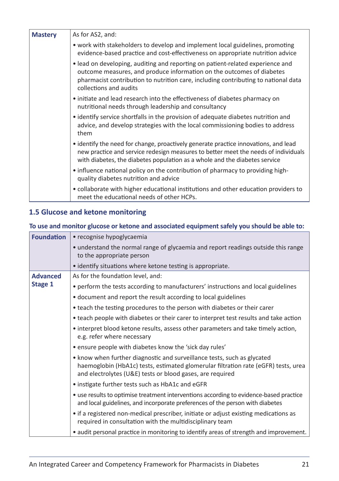| <b>Mastery</b> | As for AS2, and:                                                                                                                                                                                                                                                        |
|----------------|-------------------------------------------------------------------------------------------------------------------------------------------------------------------------------------------------------------------------------------------------------------------------|
|                | • work with stakeholders to develop and implement local guidelines, promoting<br>evidence-based practice and cost-effectiveness on appropriate nutrition advice                                                                                                         |
|                | • lead on developing, auditing and reporting on patient-related experience and<br>outcome measures, and produce information on the outcomes of diabetes<br>pharmacist contribution to nutrition care, including contributing to national data<br>collections and audits |
|                | • initiate and lead research into the effectiveness of diabetes pharmacy on<br>nutritional needs through leadership and consultancy                                                                                                                                     |
|                | • identify service shortfalls in the provision of adequate diabetes nutrition and<br>advice, and develop strategies with the local commissioning bodies to address<br>them                                                                                              |
|                | • identify the need for change, proactively generate practice innovations, and lead<br>new practice and service redesign measures to better meet the needs of individuals<br>with diabetes, the diabetes population as a whole and the diabetes service                 |
|                | • influence national policy on the contribution of pharmacy to providing high-<br>quality diabetes nutrition and advice                                                                                                                                                 |
|                | • collaborate with higher educational institutions and other education providers to<br>meet the educational needs of other HCPs.                                                                                                                                        |

#### **1.5 Glucose and ketone monitoring**

#### **To use and monitor glucose or ketone and associated equipment safely you should be able to:**

| <b>Foundation</b> | • recognise hypoglycaemia                                                                                                                                                                                                  |
|-------------------|----------------------------------------------------------------------------------------------------------------------------------------------------------------------------------------------------------------------------|
|                   | • understand the normal range of glycaemia and report readings outside this range<br>to the appropriate person                                                                                                             |
|                   | • identify situations where ketone testing is appropriate.                                                                                                                                                                 |
| <b>Advanced</b>   | As for the foundation level, and:                                                                                                                                                                                          |
| Stage 1           | • perform the tests according to manufacturers' instructions and local guidelines                                                                                                                                          |
|                   | • document and report the result according to local guidelines                                                                                                                                                             |
|                   | • teach the testing procedures to the person with diabetes or their carer                                                                                                                                                  |
|                   | • teach people with diabetes or their carer to interpret test results and take action                                                                                                                                      |
|                   | • interpret blood ketone results, assess other parameters and take timely action,<br>e.g. refer where necessary                                                                                                            |
|                   | • ensure people with diabetes know the 'sick day rules'                                                                                                                                                                    |
|                   | • know when further diagnostic and surveillance tests, such as glycated<br>haemoglobin (HbA1c) tests, estimated glomerular filtration rate (eGFR) tests, urea<br>and electrolytes (U&E) tests or blood gases, are required |
|                   | • instigate further tests such as HbA1c and eGFR                                                                                                                                                                           |
|                   | • use results to optimise treatment interventions according to evidence-based practice<br>and local guidelines, and incorporate preferences of the person with diabetes                                                    |
|                   | • if a registered non-medical prescriber, initiate or adjust existing medications as<br>required in consultation with the multidisciplinary team                                                                           |
|                   | • audit personal practice in monitoring to identify areas of strength and improvement.                                                                                                                                     |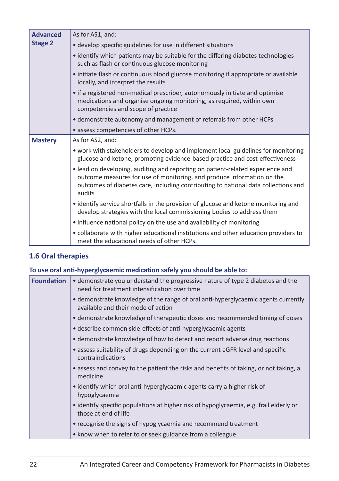| <b>Advanced</b><br><b>Stage 2</b> | As for AS1, and:                                                                                                                                                                                                                                         |
|-----------------------------------|----------------------------------------------------------------------------------------------------------------------------------------------------------------------------------------------------------------------------------------------------------|
|                                   | • develop specific guidelines for use in different situations                                                                                                                                                                                            |
|                                   | • identify which patients may be suitable for the differing diabetes technologies<br>such as flash or continuous glucose monitoring                                                                                                                      |
|                                   | • initiate flash or continuous blood glucose monitoring if appropriate or available<br>locally, and interpret the results                                                                                                                                |
|                                   | • if a registered non-medical prescriber, autonomously initiate and optimise<br>medications and organise ongoing monitoring, as required, within own<br>competencies and scope of practice                                                               |
|                                   | • demonstrate autonomy and management of referrals from other HCPs                                                                                                                                                                                       |
|                                   | • assess competencies of other HCPs.                                                                                                                                                                                                                     |
| <b>Mastery</b>                    | As for AS2, and:                                                                                                                                                                                                                                         |
|                                   | • work with stakeholders to develop and implement local guidelines for monitoring<br>glucose and ketone, promoting evidence-based practice and cost-effectiveness                                                                                        |
|                                   | • lead on developing, auditing and reporting on patient-related experience and<br>outcome measures for use of monitoring, and produce information on the<br>outcomes of diabetes care, including contributing to national data collections and<br>audits |
|                                   | • identify service shortfalls in the provision of glucose and ketone monitoring and<br>develop strategies with the local commissioning bodies to address them                                                                                            |
|                                   | • influence national policy on the use and availability of monitoring                                                                                                                                                                                    |
|                                   | • collaborate with higher educational institutions and other education providers to<br>meet the educational needs of other HCPs.                                                                                                                         |

#### **1.6 Oral therapies**

#### **To use oral anti-hyperglycaemic medication safely you should be able to:**

| <b>Foundation</b> | • demonstrate you understand the progressive nature of type 2 diabetes and the<br>need for treatment intensification over time |
|-------------------|--------------------------------------------------------------------------------------------------------------------------------|
|                   | • demonstrate knowledge of the range of oral anti-hyperglycaemic agents currently<br>available and their mode of action        |
|                   | • demonstrate knowledge of therapeutic doses and recommended timing of doses                                                   |
|                   | • describe common side-effects of anti-hyperglycaemic agents                                                                   |
|                   | • demonstrate knowledge of how to detect and report adverse drug reactions                                                     |
|                   | • assess suitability of drugs depending on the current eGFR level and specific<br>contraindications                            |
|                   | • assess and convey to the patient the risks and benefits of taking, or not taking, a<br>medicine                              |
|                   | • identify which oral anti-hyperglycaemic agents carry a higher risk of<br>hypoglycaemia                                       |
|                   | • identify specific populations at higher risk of hypoglycaemia, e.g. frail elderly or<br>those at end of life                 |
|                   | • recognise the signs of hypoglycaemia and recommend treatment                                                                 |
|                   | • know when to refer to or seek guidance from a colleague.                                                                     |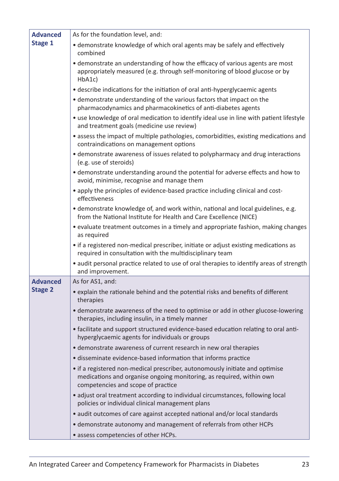| <b>Advanced</b> | As for the foundation level, and:                                                                                                                                                          |
|-----------------|--------------------------------------------------------------------------------------------------------------------------------------------------------------------------------------------|
| Stage 1         | • demonstrate knowledge of which oral agents may be safely and effectively<br>combined                                                                                                     |
|                 | • demonstrate an understanding of how the efficacy of various agents are most<br>appropriately measured (e.g. through self-monitoring of blood glucose or by<br>HbA1c)                     |
|                 | • describe indications for the initiation of oral anti-hyperglycaemic agents                                                                                                               |
|                 | • demonstrate understanding of the various factors that impact on the<br>pharmacodynamics and pharmacokinetics of anti-diabetes agents                                                     |
|                 | • use knowledge of oral medication to identify ideal use in line with patient lifestyle<br>and treatment goals (medicine use review)                                                       |
|                 | • assess the impact of multiple pathologies, comorbidities, existing medications and<br>contraindications on management options                                                            |
|                 | • demonstrate awareness of issues related to polypharmacy and drug interactions<br>(e.g. use of steroids)                                                                                  |
|                 | • demonstrate understanding around the potential for adverse effects and how to<br>avoid, minimise, recognise and manage them                                                              |
|                 | • apply the principles of evidence-based practice including clinical and cost-<br>effectiveness                                                                                            |
|                 | • demonstrate knowledge of, and work within, national and local guidelines, e.g.<br>from the National Institute for Health and Care Excellence (NICE)                                      |
|                 | • evaluate treatment outcomes in a timely and appropriate fashion, making changes<br>as required                                                                                           |
|                 | • if a registered non-medical prescriber, initiate or adjust existing medications as<br>required in consultation with the multidisciplinary team                                           |
|                 | • audit personal practice related to use of oral therapies to identify areas of strength<br>and improvement.                                                                               |
| <b>Advanced</b> | As for AS1, and:                                                                                                                                                                           |
| <b>Stage 2</b>  | • explain the rationale behind and the potential risks and benefits of different<br>therapies                                                                                              |
|                 | • demonstrate awareness of the need to optimise or add in other glucose-lowering<br>therapies, including insulin, in a timely manner                                                       |
|                 | • facilitate and support structured evidence-based education relating to oral anti-<br>hyperglycaemic agents for individuals or groups                                                     |
|                 | • demonstrate awareness of current research in new oral therapies                                                                                                                          |
|                 | • disseminate evidence-based information that informs practice                                                                                                                             |
|                 | • if a registered non-medical prescriber, autonomously initiate and optimise<br>medications and organise ongoing monitoring, as required, within own<br>competencies and scope of practice |
|                 | • adjust oral treatment according to individual circumstances, following local<br>policies or individual clinical management plans                                                         |
|                 | • audit outcomes of care against accepted national and/or local standards                                                                                                                  |
|                 | • demonstrate autonomy and management of referrals from other HCPs                                                                                                                         |
|                 | · assess competencies of other HCPs.                                                                                                                                                       |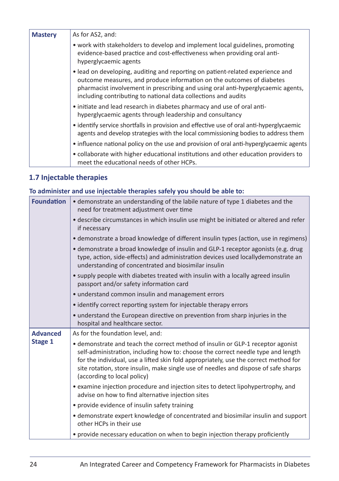| <b>Mastery</b> | As for AS2, and:                                                                                                                                                                                                                                                                                              |
|----------------|---------------------------------------------------------------------------------------------------------------------------------------------------------------------------------------------------------------------------------------------------------------------------------------------------------------|
|                | • work with stakeholders to develop and implement local guidelines, promoting<br>evidence-based practice and cost-effectiveness when providing oral anti-<br>hyperglycaemic agents                                                                                                                            |
|                | • lead on developing, auditing and reporting on patient-related experience and<br>outcome measures, and produce information on the outcomes of diabetes<br>pharmacist involvement in prescribing and using oral anti-hyperglycaemic agents,<br>including contributing to national data collections and audits |
|                | • initiate and lead research in diabetes pharmacy and use of oral anti-<br>hyperglycaemic agents through leadership and consultancy                                                                                                                                                                           |
|                | • identify service shortfalls in provision and effective use of oral anti-hyperglycaemic<br>agents and develop strategies with the local commissioning bodies to address them                                                                                                                                 |
|                | • influence national policy on the use and provision of oral anti-hyperglycaemic agents                                                                                                                                                                                                                       |
|                | • collaborate with higher educational institutions and other education providers to<br>meet the educational needs of other HCPs.                                                                                                                                                                              |

#### **1.7 Injectable therapies**

#### **To administer and use injectable therapies safely you should be able to:**

| <b>Foundation</b> | • demonstrate an understanding of the labile nature of type 1 diabetes and the<br>need for treatment adjustment over time                                                                                                                                                                                                                                                         |
|-------------------|-----------------------------------------------------------------------------------------------------------------------------------------------------------------------------------------------------------------------------------------------------------------------------------------------------------------------------------------------------------------------------------|
|                   | • describe circumstances in which insulin use might be initiated or altered and refer<br>if necessary                                                                                                                                                                                                                                                                             |
|                   | • demonstrate a broad knowledge of different insulin types (action, use in regimens)                                                                                                                                                                                                                                                                                              |
|                   | · demonstrate a broad knowledge of insulin and GLP-1 receptor agonists (e.g. drug<br>type, action, side-effects) and administration devices used locallydemonstrate an<br>understanding of concentrated and biosimilar insulin                                                                                                                                                    |
|                   | • supply people with diabetes treated with insulin with a locally agreed insulin<br>passport and/or safety information card                                                                                                                                                                                                                                                       |
|                   | • understand common insulin and management errors                                                                                                                                                                                                                                                                                                                                 |
|                   | • identify correct reporting system for injectable therapy errors                                                                                                                                                                                                                                                                                                                 |
|                   | • understand the European directive on prevention from sharp injuries in the<br>hospital and healthcare sector.                                                                                                                                                                                                                                                                   |
| <b>Advanced</b>   | As for the foundation level, and:                                                                                                                                                                                                                                                                                                                                                 |
| Stage 1           | • demonstrate and teach the correct method of insulin or GLP-1 receptor agonist<br>self-administration, including how to: choose the correct needle type and length<br>for the individual, use a lifted skin fold appropriately, use the correct method for<br>site rotation, store insulin, make single use of needles and dispose of safe sharps<br>(according to local policy) |
|                   | • examine injection procedure and injection sites to detect lipohypertrophy, and<br>advise on how to find alternative injection sites                                                                                                                                                                                                                                             |
|                   | • provide evidence of insulin safety training                                                                                                                                                                                                                                                                                                                                     |
|                   | • demonstrate expert knowledge of concentrated and biosimilar insulin and support<br>other HCPs in their use                                                                                                                                                                                                                                                                      |
|                   | • provide necessary education on when to begin injection therapy proficiently                                                                                                                                                                                                                                                                                                     |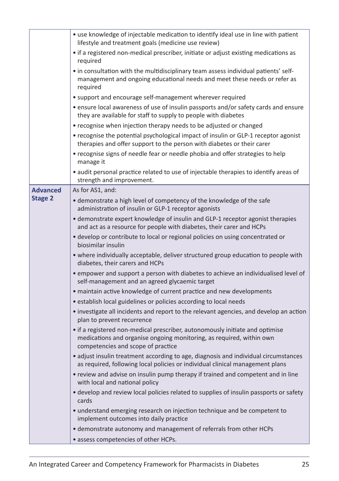|                 | • use knowledge of injectable medication to identify ideal use in line with patient<br>lifestyle and treatment goals (medicine use review)                                                 |
|-----------------|--------------------------------------------------------------------------------------------------------------------------------------------------------------------------------------------|
|                 | • if a registered non-medical prescriber, initiate or adjust existing medications as<br>required                                                                                           |
|                 | • in consultation with the multidisciplinary team assess individual patients' self-<br>management and ongoing educational needs and meet these needs or refer as<br>required               |
|                 | • support and encourage self-management wherever required                                                                                                                                  |
|                 | • ensure local awareness of use of insulin passports and/or safety cards and ensure<br>they are available for staff to supply to people with diabetes                                      |
|                 | • recognise when injection therapy needs to be adjusted or changed                                                                                                                         |
|                 | • recognise the potential psychological impact of insulin or GLP-1 receptor agonist<br>therapies and offer support to the person with diabetes or their carer                              |
|                 | • recognise signs of needle fear or needle phobia and offer strategies to help<br>manage it                                                                                                |
|                 | · audit personal practice related to use of injectable therapies to identify areas of<br>strength and improvement.                                                                         |
| <b>Advanced</b> | As for AS1, and:                                                                                                                                                                           |
| <b>Stage 2</b>  | • demonstrate a high level of competency of the knowledge of the safe<br>administration of insulin or GLP-1 receptor agonists                                                              |
|                 | • demonstrate expert knowledge of insulin and GLP-1 receptor agonist therapies<br>and act as a resource for people with diabetes, their carer and HCPs                                     |
|                 | • develop or contribute to local or regional policies on using concentrated or<br>biosimilar insulin                                                                                       |
|                 | • where individually acceptable, deliver structured group education to people with<br>diabetes, their carers and HCPs                                                                      |
|                 | • empower and support a person with diabetes to achieve an individualised level of<br>self-management and an agreed glycaemic target                                                       |
|                 | • maintain active knowledge of current practice and new developments                                                                                                                       |
|                 | • establish local guidelines or policies according to local needs                                                                                                                          |
|                 | • investigate all incidents and report to the relevant agencies, and develop an action<br>plan to prevent recurrence                                                                       |
|                 | • if a registered non-medical prescriber, autonomously initiate and optimise<br>medications and organise ongoing monitoring, as required, within own<br>competencies and scope of practice |
|                 | • adjust insulin treatment according to age, diagnosis and individual circumstances<br>as required, following local policies or individual clinical management plans                       |
|                 | • review and advise on insulin pump therapy if trained and competent and in line<br>with local and national policy                                                                         |
|                 | • develop and review local policies related to supplies of insulin passports or safety<br>cards                                                                                            |
|                 | • understand emerging research on injection technique and be competent to<br>implement outcomes into daily practice                                                                        |
|                 | • demonstrate autonomy and management of referrals from other HCPs                                                                                                                         |
|                 | • assess competencies of other HCPs.                                                                                                                                                       |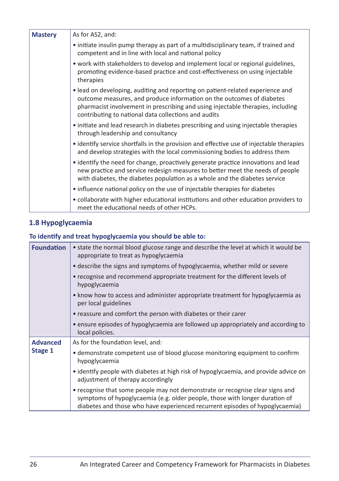| <b>Mastery</b> | As for AS2, and:                                                                                                                                                                                                                                                                                   |
|----------------|----------------------------------------------------------------------------------------------------------------------------------------------------------------------------------------------------------------------------------------------------------------------------------------------------|
|                | • initiate insulin pump therapy as part of a multidisciplinary team, if trained and<br>competent and in line with local and national policy                                                                                                                                                        |
|                | • work with stakeholders to develop and implement local or regional guidelines,<br>promoting evidence-based practice and cost-effectiveness on using injectable<br>therapies                                                                                                                       |
|                | . lead on developing, auditing and reporting on patient-related experience and<br>outcome measures, and produce information on the outcomes of diabetes<br>pharmacist involvement in prescribing and using injectable therapies, including<br>contributing to national data collections and audits |
|                | • initiate and lead research in diabetes prescribing and using injectable therapies<br>through leadership and consultancy                                                                                                                                                                          |
|                | • identify service shortfalls in the provision and effective use of injectable therapies<br>and develop strategies with the local commissioning bodies to address them                                                                                                                             |
|                | • identify the need for change, proactively generate practice innovations and lead<br>new practice and service redesign measures to better meet the needs of people<br>with diabetes, the diabetes population as a whole and the diabetes service                                                  |
|                | • influence national policy on the use of injectable therapies for diabetes                                                                                                                                                                                                                        |
|                | • collaborate with higher educational institutions and other education providers to<br>meet the educational needs of other HCPs.                                                                                                                                                                   |

#### **1.8 Hypoglycaemia**

#### **To identify and treat hypoglycaemia you should be able to:**

| <b>Foundation</b> | • state the normal blood glucose range and describe the level at which it would be<br>appropriate to treat as hypoglycaemia                                                                                                                  |
|-------------------|----------------------------------------------------------------------------------------------------------------------------------------------------------------------------------------------------------------------------------------------|
|                   | • describe the signs and symptoms of hypoglycaemia, whether mild or severe                                                                                                                                                                   |
|                   | • recognise and recommend appropriate treatment for the different levels of<br>hypoglycaemia                                                                                                                                                 |
|                   | • know how to access and administer appropriate treatment for hypoglycaemia as<br>per local guidelines                                                                                                                                       |
|                   | • reassure and comfort the person with diabetes or their carer                                                                                                                                                                               |
|                   | • ensure episodes of hypoglycaemia are followed up appropriately and according to<br>local policies.                                                                                                                                         |
| <b>Advanced</b>   | As for the foundation level, and:                                                                                                                                                                                                            |
| Stage 1           | • demonstrate competent use of blood glucose monitoring equipment to confirm<br>hypoglycaemia                                                                                                                                                |
|                   | • identify people with diabetes at high risk of hypoglycaemia, and provide advice on<br>adjustment of therapy accordingly                                                                                                                    |
|                   | • recognise that some people may not demonstrate or recognise clear signs and<br>symptoms of hypoglycaemia (e.g. older people, those with longer duration of<br>diabetes and those who have experienced recurrent episodes of hypoglycaemia) |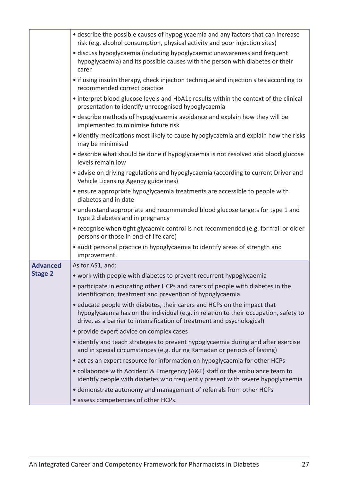|                 | • describe the possible causes of hypoglycaemia and any factors that can increase<br>risk (e.g. alcohol consumption, physical activity and poor injection sites)                                                                           |
|-----------------|--------------------------------------------------------------------------------------------------------------------------------------------------------------------------------------------------------------------------------------------|
|                 | • discuss hypoglycaemia (including hypoglycaemic unawareness and frequent<br>hypoglycaemia) and its possible causes with the person with diabetes or their<br>carer                                                                        |
|                 | • if using insulin therapy, check injection technique and injection sites according to<br>recommended correct practice                                                                                                                     |
|                 | • interpret blood glucose levels and HbA1c results within the context of the clinical<br>presentation to identify unrecognised hypoglycaemia                                                                                               |
|                 | • describe methods of hypoglycaemia avoidance and explain how they will be<br>implemented to minimise future risk                                                                                                                          |
|                 | • identify medications most likely to cause hypoglycaemia and explain how the risks<br>may be minimised                                                                                                                                    |
|                 | · describe what should be done if hypoglycaemia is not resolved and blood glucose<br>levels remain low                                                                                                                                     |
|                 | • advise on driving regulations and hypoglycaemia (according to current Driver and<br>Vehicle Licensing Agency guidelines)                                                                                                                 |
|                 | • ensure appropriate hypoglycaemia treatments are accessible to people with<br>diabetes and in date                                                                                                                                        |
|                 | • understand appropriate and recommended blood glucose targets for type 1 and<br>type 2 diabetes and in pregnancy                                                                                                                          |
|                 | • recognise when tight glycaemic control is not recommended (e.g. for frail or older<br>persons or those in end-of-life care)                                                                                                              |
|                 | • audit personal practice in hypoglycaemia to identify areas of strength and<br>improvement.                                                                                                                                               |
| <b>Advanced</b> | As for AS1, and:                                                                                                                                                                                                                           |
| <b>Stage 2</b>  | • work with people with diabetes to prevent recurrent hypoglycaemia                                                                                                                                                                        |
|                 | • participate in educating other HCPs and carers of people with diabetes in the<br>identification, treatment and prevention of hypoglycaemia                                                                                               |
|                 | • educate people with diabetes, their carers and HCPs on the impact that<br>hypoglycaemia has on the individual (e.g. in relation to their occupation, safety to<br>drive, as a barrier to intensification of treatment and psychological) |
|                 | • provide expert advice on complex cases                                                                                                                                                                                                   |
|                 | • identify and teach strategies to prevent hypoglycaemia during and after exercise<br>and in special circumstances (e.g. during Ramadan or periods of fasting)                                                                             |
|                 | • act as an expert resource for information on hypoglycaemia for other HCPs                                                                                                                                                                |
|                 | • collaborate with Accident & Emergency (A&E) staff or the ambulance team to<br>identify people with diabetes who frequently present with severe hypoglycaemia                                                                             |
|                 | • demonstrate autonomy and management of referrals from other HCPs                                                                                                                                                                         |
|                 | • assess competencies of other HCPs.                                                                                                                                                                                                       |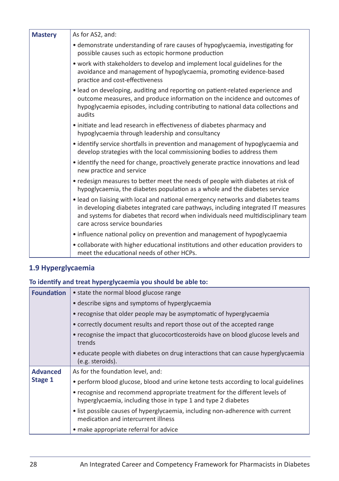| <b>Mastery</b> | As for AS2, and:                                                                                                                                                                                                                                                                             |
|----------------|----------------------------------------------------------------------------------------------------------------------------------------------------------------------------------------------------------------------------------------------------------------------------------------------|
|                | · demonstrate understanding of rare causes of hypoglycaemia, investigating for<br>possible causes such as ectopic hormone production                                                                                                                                                         |
|                | . work with stakeholders to develop and implement local guidelines for the<br>avoidance and management of hypoglycaemia, promoting evidence-based<br>practice and cost-effectiveness                                                                                                         |
|                | . lead on developing, auditing and reporting on patient-related experience and<br>outcome measures, and produce information on the incidence and outcomes of<br>hypoglycaemia episodes, including contributing to national data collections and<br>audits                                    |
|                | • initiate and lead research in effectiveness of diabetes pharmacy and<br>hypoglycaemia through leadership and consultancy                                                                                                                                                                   |
|                | • identify service shortfalls in prevention and management of hypoglycaemia and<br>develop strategies with the local commissioning bodies to address them                                                                                                                                    |
|                | • identify the need for change, proactively generate practice innovations and lead<br>new practice and service                                                                                                                                                                               |
|                | • redesign measures to better meet the needs of people with diabetes at risk of<br>hypoglycaemia, the diabetes population as a whole and the diabetes service                                                                                                                                |
|                | . lead on liaising with local and national emergency networks and diabetes teams<br>in developing diabetes integrated care pathways, including integrated IT measures<br>and systems for diabetes that record when individuals need multidisciplinary team<br>care across service boundaries |
|                | • influence national policy on prevention and management of hypoglycaemia                                                                                                                                                                                                                    |
|                | • collaborate with higher educational institutions and other education providers to<br>meet the educational needs of other HCPs.                                                                                                                                                             |

#### **1.9 Hyperglycaemia**

#### **To identify and treat hyperglycaemia you should be able to:**

| <b>Foundation</b> | • state the normal blood glucose range                                                                                                       |
|-------------------|----------------------------------------------------------------------------------------------------------------------------------------------|
|                   | • describe signs and symptoms of hyperglycaemia                                                                                              |
|                   | • recognise that older people may be asymptomatic of hyperglycaemia                                                                          |
|                   | • correctly document results and report those out of the accepted range                                                                      |
|                   | • recognise the impact that glucocorticosteroids have on blood glucose levels and<br>trends                                                  |
|                   | • educate people with diabetes on drug interactions that can cause hyperglycaemia<br>(e.g. steroids).                                        |
| <b>Advanced</b>   | As for the foundation level, and:                                                                                                            |
| Stage 1           | • perform blood glucose, blood and urine ketone tests according to local guidelines                                                          |
|                   | • recognise and recommend appropriate treatment for the different levels of<br>hyperglycaemia, including those in type 1 and type 2 diabetes |
|                   | • list possible causes of hyperglycaemia, including non-adherence with current<br>medication and intercurrent illness                        |
|                   | • make appropriate referral for advice                                                                                                       |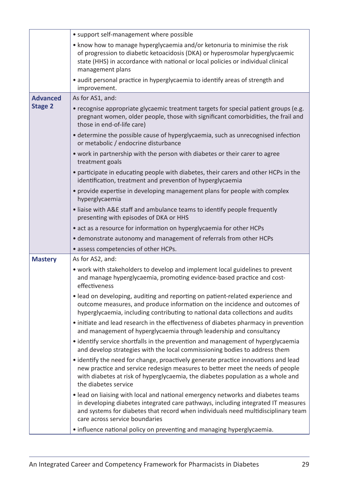|                 | • support self-management where possible                                                                                                                                                                                                                                                     |
|-----------------|----------------------------------------------------------------------------------------------------------------------------------------------------------------------------------------------------------------------------------------------------------------------------------------------|
|                 | • know how to manage hyperglycaemia and/or ketonuria to minimise the risk<br>of progression to diabetic ketoacidosis (DKA) or hyperosmolar hyperglycaemic<br>state (HHS) in accordance with national or local policies or individual clinical<br>management plans                            |
|                 | • audit personal practice in hyperglycaemia to identify areas of strength and<br>improvement.                                                                                                                                                                                                |
| <b>Advanced</b> | As for AS1, and:                                                                                                                                                                                                                                                                             |
| <b>Stage 2</b>  | • recognise appropriate glycaemic treatment targets for special patient groups (e.g.<br>pregnant women, older people, those with significant comorbidities, the frail and<br>those in end-of-life care)                                                                                      |
|                 | • determine the possible cause of hyperglycaemia, such as unrecognised infection<br>or metabolic / endocrine disturbance                                                                                                                                                                     |
|                 | • work in partnership with the person with diabetes or their carer to agree<br>treatment goals                                                                                                                                                                                               |
|                 | • participate in educating people with diabetes, their carers and other HCPs in the<br>identification, treatment and prevention of hyperglycaemia                                                                                                                                            |
|                 | • provide expertise in developing management plans for people with complex<br>hyperglycaemia                                                                                                                                                                                                 |
|                 | • liaise with A&E staff and ambulance teams to identify people frequently<br>presenting with episodes of DKA or HHS                                                                                                                                                                          |
|                 | • act as a resource for information on hyperglycaemia for other HCPs                                                                                                                                                                                                                         |
|                 |                                                                                                                                                                                                                                                                                              |
|                 | • demonstrate autonomy and management of referrals from other HCPs                                                                                                                                                                                                                           |
|                 | • assess competencies of other HCPs.                                                                                                                                                                                                                                                         |
| <b>Mastery</b>  | As for AS2, and:                                                                                                                                                                                                                                                                             |
|                 | • work with stakeholders to develop and implement local guidelines to prevent<br>and manage hyperglycaemia, promoting evidence-based practice and cost-<br>effectiveness                                                                                                                     |
|                 | • lead on developing, auditing and reporting on patient-related experience and<br>outcome measures, and produce information on the incidence and outcomes of<br>hyperglycaemia, including contributing to national data collections and audits                                               |
|                 | • initiate and lead research in the effectiveness of diabetes pharmacy in prevention<br>and management of hyperglycaemia through leadership and consultancy                                                                                                                                  |
|                 | • identify service shortfalls in the prevention and management of hyperglycaemia<br>and develop strategies with the local commissioning bodies to address them                                                                                                                               |
|                 | • identify the need for change, proactively generate practice innovations and lead<br>new practice and service redesign measures to better meet the needs of people<br>with diabetes at risk of hyperglycaemia, the diabetes population as a whole and<br>the diabetes service               |
|                 | . lead on liaising with local and national emergency networks and diabetes teams<br>in developing diabetes integrated care pathways, including integrated IT measures<br>and systems for diabetes that record when individuals need multidisciplinary team<br>care across service boundaries |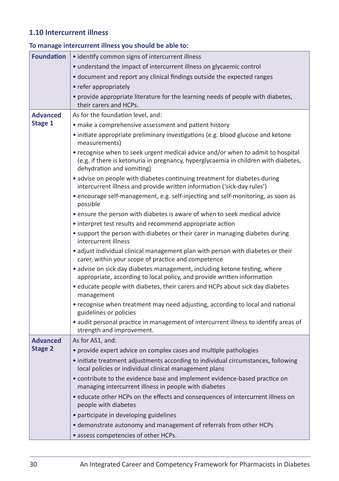#### **1.10 Intercurrent illness**

| <b>Foundation</b> | • identify common signs of intercurrent illness                                                                                                                                                     |
|-------------------|-----------------------------------------------------------------------------------------------------------------------------------------------------------------------------------------------------|
|                   | • understand the impact of intercurrent illness on glycaemic control                                                                                                                                |
|                   | • document and report any clinical findings outside the expected ranges                                                                                                                             |
|                   | • refer appropriately                                                                                                                                                                               |
|                   | • provide appropriate literature for the learning needs of people with diabetes,<br>their carers and HCPs.                                                                                          |
| <b>Advanced</b>   | As for the foundation level, and:                                                                                                                                                                   |
| Stage 1           | • make a comprehensive assessment and patient history                                                                                                                                               |
|                   | • initiate appropriate preliminary investigations (e.g. blood glucose and ketone<br>measurements)                                                                                                   |
|                   | • recognise when to seek urgent medical advice and/or when to admit to hospital<br>(e.g. if there is ketonuria in pregnancy, hyperglycaemia in children with diabetes,<br>dehydration and vomiting) |
|                   | • advise on people with diabetes continuing treatment for diabetes during<br>intercurrent illness and provide written information ('sick-day rules')                                                |
|                   | • encourage self-management, e.g. self-injecting and self-monitoring, as soon as<br>possible                                                                                                        |
|                   | • ensure the person with diabetes is aware of when to seek medical advice                                                                                                                           |
|                   | • interpret test results and recommend appropriate action                                                                                                                                           |
|                   | • support the person with diabetes or their carer in managing diabetes during<br>intercurrent illness                                                                                               |
|                   | • adjust individual clinical management plan with person with diabetes or their<br>carer, within your scope of practice and competence                                                              |
|                   | • advise on sick day diabetes management, including ketone testing, where<br>appropriate, according to local policy, and provide written information                                                |
|                   | • educate people with diabetes, their carers and HCPs about sick day diabetes<br>management                                                                                                         |
|                   | • recognise when treatment may need adjusting, according to local and national<br>guidelines or policies                                                                                            |
|                   | • audit personal practice in management of intercurrent illness to identify areas of<br>strength and improvement.                                                                                   |
| <b>Advanced</b>   | As for AS1, and:                                                                                                                                                                                    |
| <b>Stage 2</b>    | • provide expert advice on complex cases and multiple pathologies                                                                                                                                   |
|                   | • initiate treatment adjustments according to individual circumstances, following<br>local policies or individual clinical management plans                                                         |
|                   | • contribute to the evidence base and implement evidence-based practice on<br>managing intercurrent illness in people with diabetes                                                                 |
|                   | • educate other HCPs on the effects and consequences of intercurrent illness on<br>people with diabetes                                                                                             |
|                   | • participate in developing guidelines                                                                                                                                                              |
|                   | • demonstrate autonomy and management of referrals from other HCPs                                                                                                                                  |
|                   | • assess competencies of other HCPs.                                                                                                                                                                |

#### **To manage intercurrent illness you should be able to:**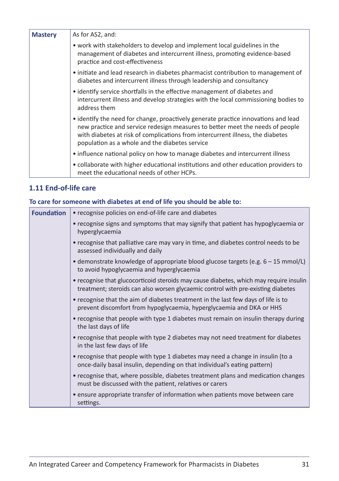| <b>Mastery</b> | As for AS2, and:                                                                                                                                                                                                                                                                                        |
|----------------|---------------------------------------------------------------------------------------------------------------------------------------------------------------------------------------------------------------------------------------------------------------------------------------------------------|
|                | • work with stakeholders to develop and implement local guidelines in the<br>management of diabetes and intercurrent illness, promoting evidence-based<br>practice and cost-effectiveness                                                                                                               |
|                | • initiate and lead research in diabetes pharmacist contribution to management of<br>diabetes and intercurrent illness through leadership and consultancy                                                                                                                                               |
|                | • identify service shortfalls in the effective management of diabetes and<br>intercurrent illness and develop strategies with the local commissioning bodies to<br>address them                                                                                                                         |
|                | • identify the need for change, proactively generate practice innovations and lead<br>new practice and service redesign measures to better meet the needs of people<br>with diabetes at risk of complications from intercurrent illness, the diabetes<br>population as a whole and the diabetes service |
|                | • influence national policy on how to manage diabetes and intercurrent illness                                                                                                                                                                                                                          |
|                | • collaborate with higher educational institutions and other education providers to<br>meet the educational needs of other HCPs.                                                                                                                                                                        |

#### **1.11 End-of-life care**

#### **To care for someone with diabetes at end of life you should be able to:**

| <b>Foundation</b> | • recognise policies on end-of-life care and diabetes                                                                                                                      |
|-------------------|----------------------------------------------------------------------------------------------------------------------------------------------------------------------------|
|                   | • recognise signs and symptoms that may signify that patient has hypoglycaemia or<br>hyperglycaemia                                                                        |
|                   | • recognise that palliative care may vary in time, and diabetes control needs to be<br>assessed individually and daily                                                     |
|                   | • demonstrate knowledge of appropriate blood glucose targets (e.g. $6 - 15$ mmol/L)<br>to avoid hypoglycaemia and hyperglycaemia                                           |
|                   | • recognise that glucocorticoid steroids may cause diabetes, which may require insulin<br>treatment; steroids can also worsen glycaemic control with pre-existing diabetes |
|                   | • recognise that the aim of diabetes treatment in the last few days of life is to<br>prevent discomfort from hypoglycaemia, hyperglycaemia and DKA or HHS                  |
|                   | • recognise that people with type 1 diabetes must remain on insulin therapy during<br>the last days of life                                                                |
|                   | • recognise that people with type 2 diabetes may not need treatment for diabetes<br>in the last few days of life                                                           |
|                   | • recognise that people with type 1 diabetes may need a change in insulin (to a<br>once-daily basal insulin, depending on that individual's eating pattern)                |
|                   | • recognise that, where possible, diabetes treatment plans and medication changes<br>must be discussed with the patient, relatives or carers                               |
|                   | • ensure appropriate transfer of information when patients move between care<br>settings.                                                                                  |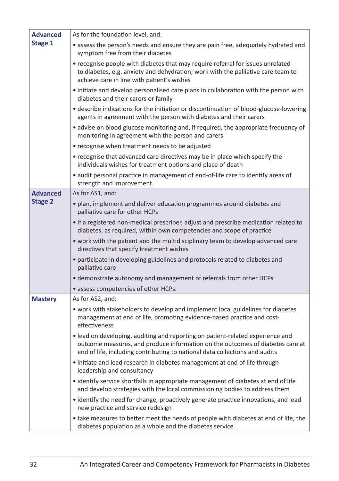| <b>Advanced</b> | As for the foundation level, and:                                                                                                                                                                                                              |
|-----------------|------------------------------------------------------------------------------------------------------------------------------------------------------------------------------------------------------------------------------------------------|
| Stage 1         | • assess the person's needs and ensure they are pain free, adequately hydrated and<br>symptom free from their diabetes                                                                                                                         |
|                 | • recognise people with diabetes that may require referral for issues unrelated<br>to diabetes, e.g. anxiety and dehydration; work with the palliative care team to<br>achieve care in line with patient's wishes                              |
|                 | • initiate and develop personalised care plans in collaboration with the person with<br>diabetes and their carers or family                                                                                                                    |
|                 | • describe indications for the initiation or discontinuation of blood-glucose-lowering<br>agents in agreement with the person with diabetes and their carers                                                                                   |
|                 | • advise on blood glucose monitoring and, if required, the appropriate frequency of<br>monitoring in agreement with the person and carers                                                                                                      |
|                 | • recognise when treatment needs to be adjusted                                                                                                                                                                                                |
|                 | • recognise that advanced care directives may be in place which specify the<br>individuals wishes for treatment options and place of death                                                                                                     |
|                 | • audit personal practice in management of end-of-life care to identify areas of<br>strength and improvement.                                                                                                                                  |
| <b>Advanced</b> | As for AS1, and:                                                                                                                                                                                                                               |
| <b>Stage 2</b>  | • plan, implement and deliver education programmes around diabetes and<br>palliative care for other HCPs                                                                                                                                       |
|                 | • if a registered non-medical prescriber, adjust and prescribe medication related to<br>diabetes, as required, within own competencies and scope of practice                                                                                   |
|                 | • work with the patient and the multidisciplinary team to develop advanced care<br>directives that specify treatment wishes                                                                                                                    |
|                 | • participate in developing guidelines and protocols related to diabetes and<br>palliative care                                                                                                                                                |
|                 | • demonstrate autonomy and management of referrals from other HCPs                                                                                                                                                                             |
|                 | • assess competencies of other HCPs.                                                                                                                                                                                                           |
| <b>Mastery</b>  | As for AS2, and:                                                                                                                                                                                                                               |
|                 | • work with stakeholders to develop and implement local guidelines for diabetes<br>management at end of life, promoting evidence-based practice and cost-<br>effectiveness                                                                     |
|                 | • lead on developing, auditing and reporting on patient-related experience and<br>outcome measures, and produce information on the outcomes of diabetes care at<br>end of life, including contributing to national data collections and audits |
|                 | • initiate and lead research in diabetes management at end of life through<br>leadership and consultancy                                                                                                                                       |
|                 | • identify service shortfalls in appropriate management of diabetes at end of life<br>and develop strategies with the local commissioning bodies to address them                                                                               |
|                 | • identify the need for change, proactively generate practice innovations, and lead<br>new practice and service redesign                                                                                                                       |
|                 | • take measures to better meet the needs of people with diabetes at end of life, the<br>diabetes population as a whole and the diabetes service                                                                                                |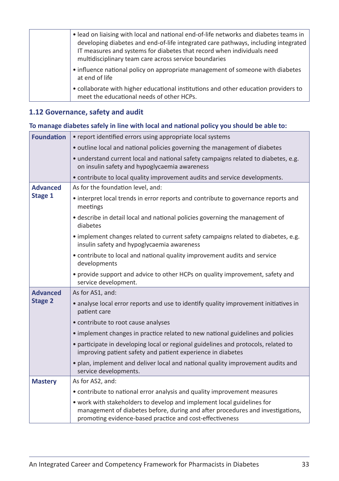| • lead on liaising with local and national end-of-life networks and diabetes teams in<br>developing diabetes and end-of-life integrated care pathways, including integrated<br>IT measures and systems for diabetes that record when individuals need<br>multidisciplinary team care across service boundaries |
|----------------------------------------------------------------------------------------------------------------------------------------------------------------------------------------------------------------------------------------------------------------------------------------------------------------|
| • influence national policy on appropriate management of someone with diabetes<br>at end of life                                                                                                                                                                                                               |
| • collaborate with higher educational institutions and other education providers to<br>meet the educational needs of other HCPs.                                                                                                                                                                               |

#### **1.12 Governance, safety and audit**

#### **To manage diabetes safely in line with local and national policy you should be able to:**

| <b>Foundation</b>                 | • report identified errors using appropriate local systems                                                                                                                                                           |
|-----------------------------------|----------------------------------------------------------------------------------------------------------------------------------------------------------------------------------------------------------------------|
|                                   | • outline local and national policies governing the management of diabetes                                                                                                                                           |
|                                   | • understand current local and national safety campaigns related to diabetes, e.g.<br>on insulin safety and hypoglycaemia awareness                                                                                  |
|                                   | • contribute to local quality improvement audits and service developments.                                                                                                                                           |
| <b>Advanced</b>                   | As for the foundation level, and:                                                                                                                                                                                    |
| Stage 1                           | • interpret local trends in error reports and contribute to governance reports and<br>meetings                                                                                                                       |
|                                   | • describe in detail local and national policies governing the management of<br>diabetes                                                                                                                             |
|                                   | • implement changes related to current safety campaigns related to diabetes, e.g.<br>insulin safety and hypoglycaemia awareness                                                                                      |
|                                   | • contribute to local and national quality improvement audits and service<br>developments                                                                                                                            |
|                                   | • provide support and advice to other HCPs on quality improvement, safety and<br>service development.                                                                                                                |
| <b>Advanced</b><br><b>Stage 2</b> | As for AS1, and:                                                                                                                                                                                                     |
|                                   | • analyse local error reports and use to identify quality improvement initiatives in<br>patient care                                                                                                                 |
|                                   | • contribute to root cause analyses                                                                                                                                                                                  |
|                                   | · implement changes in practice related to new national guidelines and policies                                                                                                                                      |
|                                   | • participate in developing local or regional guidelines and protocols, related to<br>improving patient safety and patient experience in diabetes                                                                    |
|                                   | · plan, implement and deliver local and national quality improvement audits and<br>service developments.                                                                                                             |
| <b>Mastery</b>                    | As for AS2, and:                                                                                                                                                                                                     |
|                                   | • contribute to national error analysis and quality improvement measures                                                                                                                                             |
|                                   | • work with stakeholders to develop and implement local guidelines for<br>management of diabetes before, during and after procedures and investigations,<br>promoting evidence-based practice and cost-effectiveness |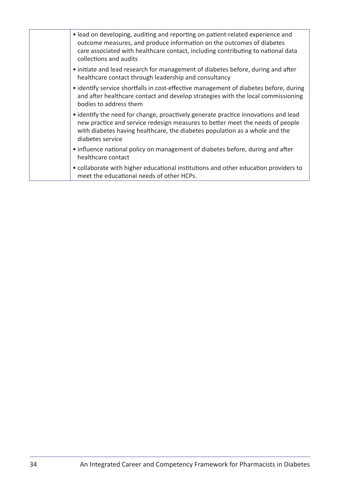| • lead on developing, auditing and reporting on patient-related experience and<br>outcome measures, and produce information on the outcomes of diabetes<br>care associated with healthcare contact, including contributing to national data<br>collections and audits  |
|------------------------------------------------------------------------------------------------------------------------------------------------------------------------------------------------------------------------------------------------------------------------|
| • initiate and lead research for management of diabetes before, during and after<br>healthcare contact through leadership and consultancy                                                                                                                              |
| • identify service shortfalls in cost-effective management of diabetes before, during<br>and after healthcare contact and develop strategies with the local commissioning<br>bodies to address them                                                                    |
| • identify the need for change, proactively generate practice innovations and lead<br>new practice and service redesign measures to better meet the needs of people<br>with diabetes having healthcare, the diabetes population as a whole and the<br>diabetes service |
| • influence national policy on management of diabetes before, during and after<br>healthcare contact                                                                                                                                                                   |
| • collaborate with higher educational institutions and other education providers to<br>meet the educational needs of other HCPs.                                                                                                                                       |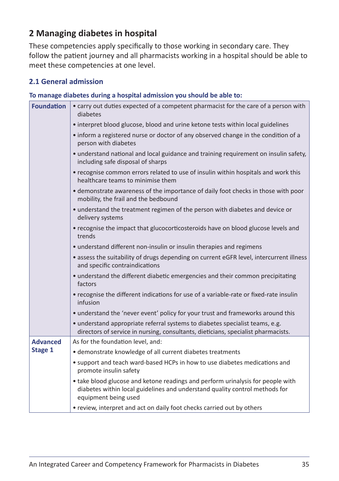#### **2 Managing diabetes in hospital**

These competencies apply specifically to those working in secondary care. They follow the patient journey and all pharmacists working in a hospital should be able to meet these competencies at one level.

#### **2.1 General admission**

#### **To manage diabetes during a hospital admission you should be able to:**

| <b>Foundation</b> | • carry out duties expected of a competent pharmacist for the care of a person with<br>diabetes                                                                                        |
|-------------------|----------------------------------------------------------------------------------------------------------------------------------------------------------------------------------------|
|                   | • interpret blood glucose, blood and urine ketone tests within local guidelines                                                                                                        |
|                   | • inform a registered nurse or doctor of any observed change in the condition of a<br>person with diabetes                                                                             |
|                   | • understand national and local guidance and training requirement on insulin safety,<br>including safe disposal of sharps                                                              |
|                   | • recognise common errors related to use of insulin within hospitals and work this<br>healthcare teams to minimise them                                                                |
|                   | • demonstrate awareness of the importance of daily foot checks in those with poor<br>mobility, the frail and the bedbound                                                              |
|                   | • understand the treatment regimen of the person with diabetes and device or<br>delivery systems                                                                                       |
|                   | • recognise the impact that glucocorticosteroids have on blood glucose levels and<br>trends                                                                                            |
|                   | • understand different non-insulin or insulin therapies and regimens                                                                                                                   |
|                   | • assess the suitability of drugs depending on current eGFR level, intercurrent illness<br>and specific contraindications                                                              |
|                   | • understand the different diabetic emergencies and their common precipitating<br>factors                                                                                              |
|                   | • recognise the different indications for use of a variable-rate or fixed-rate insulin<br>infusion                                                                                     |
|                   | • understand the 'never event' policy for your trust and frameworks around this                                                                                                        |
|                   | • understand appropriate referral systems to diabetes specialist teams, e.g.<br>directors of service in nursing, consultants, dieticians, specialist pharmacists.                      |
| <b>Advanced</b>   | As for the foundation level, and:                                                                                                                                                      |
| Stage 1           | • demonstrate knowledge of all current diabetes treatments                                                                                                                             |
|                   | • support and teach ward-based HCPs in how to use diabetes medications and<br>promote insulin safety                                                                                   |
|                   | • take blood glucose and ketone readings and perform urinalysis for people with<br>diabetes within local guidelines and understand quality control methods for<br>equipment being used |
|                   | • review, interpret and act on daily foot checks carried out by others                                                                                                                 |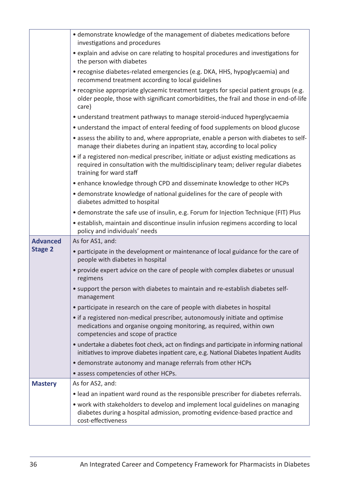|                 | • demonstrate knowledge of the management of diabetes medications before<br>investigations and procedures                                                                                             |
|-----------------|-------------------------------------------------------------------------------------------------------------------------------------------------------------------------------------------------------|
|                 | • explain and advise on care relating to hospital procedures and investigations for<br>the person with diabetes                                                                                       |
|                 | • recognise diabetes-related emergencies (e.g. DKA, HHS, hypoglycaemia) and<br>recommend treatment according to local guidelines                                                                      |
|                 | • recognise appropriate glycaemic treatment targets for special patient groups (e.g.<br>older people, those with significant comorbidities, the frail and those in end-of-life<br>care)               |
|                 | • understand treatment pathways to manage steroid-induced hyperglycaemia                                                                                                                              |
|                 | • understand the impact of enteral feeding of food supplements on blood glucose                                                                                                                       |
|                 | • assess the ability to and, where appropriate, enable a person with diabetes to self-<br>manage their diabetes during an inpatient stay, according to local policy                                   |
|                 | • if a registered non-medical prescriber, initiate or adjust existing medications as<br>required in consultation with the multidisciplinary team; deliver regular diabetes<br>training for ward staff |
|                 | • enhance knowledge through CPD and disseminate knowledge to other HCPs                                                                                                                               |
|                 | • demonstrate knowledge of national guidelines for the care of people with<br>diabetes admitted to hospital                                                                                           |
|                 | • demonstrate the safe use of insulin, e.g. Forum for Injection Technique (FIT) Plus                                                                                                                  |
|                 | • establish, maintain and discontinue insulin infusion regimens according to local<br>policy and individuals' needs                                                                                   |
| <b>Advanced</b> | As for AS1, and:                                                                                                                                                                                      |
| <b>Stage 2</b>  | • participate in the development or maintenance of local guidance for the care of<br>people with diabetes in hospital                                                                                 |
|                 | • provide expert advice on the care of people with complex diabetes or unusual<br>regimens                                                                                                            |
|                 | • support the person with diabetes to maintain and re-establish diabetes self-<br>management                                                                                                          |
|                 | • participate in research on the care of people with diabetes in hospital                                                                                                                             |
|                 | • if a registered non-medical prescriber, autonomously initiate and optimise<br>medications and organise ongoing monitoring, as required, within own<br>competencies and scope of practice            |
|                 | • undertake a diabetes foot check, act on findings and participate in informing national<br>initiatives to improve diabetes inpatient care, e.g. National Diabetes Inpatient Audits                   |
|                 | • demonstrate autonomy and manage referrals from other HCPs                                                                                                                                           |
|                 | · assess competencies of other HCPs.                                                                                                                                                                  |
| <b>Mastery</b>  | As for AS2, and:                                                                                                                                                                                      |
|                 | • lead an inpatient ward round as the responsible prescriber for diabetes referrals.                                                                                                                  |
|                 | • work with stakeholders to develop and implement local guidelines on managing<br>diabetes during a hospital admission, promoting evidence-based practice and<br>cost-effectiveness                   |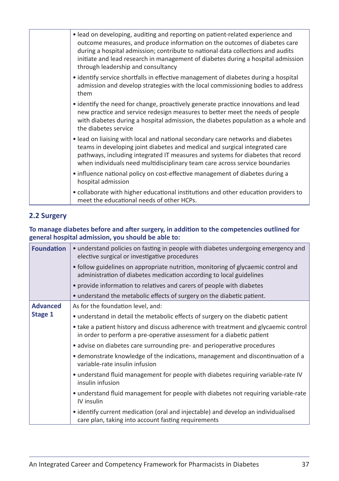|  | • lead on developing, auditing and reporting on patient-related experience and<br>outcome measures, and produce information on the outcomes of diabetes care<br>during a hospital admission; contribute to national data collections and audits<br>initiate and lead research in management of diabetes during a hospital admission<br>through leadership and consultancy |
|--|---------------------------------------------------------------------------------------------------------------------------------------------------------------------------------------------------------------------------------------------------------------------------------------------------------------------------------------------------------------------------|
|  | • identify service shortfalls in effective management of diabetes during a hospital<br>admission and develop strategies with the local commissioning bodies to address<br>them                                                                                                                                                                                            |
|  | • identify the need for change, proactively generate practice innovations and lead<br>new practice and service redesign measures to better meet the needs of people<br>with diabetes during a hospital admission, the diabetes population as a whole and<br>the diabetes service                                                                                          |
|  | • lead on liaising with local and national secondary care networks and diabetes<br>teams in developing joint diabetes and medical and surgical integrated care<br>pathways, including integrated IT measures and systems for diabetes that record<br>when individuals need multidisciplinary team care across service boundaries                                          |
|  | • influence national policy on cost-effective management of diabetes during a<br>hospital admission                                                                                                                                                                                                                                                                       |
|  | • collaborate with higher educational institutions and other education providers to<br>meet the educational needs of other HCPs.                                                                                                                                                                                                                                          |

#### **2.2 Surgery**

#### **To manage diabetes before and after surgery, in addition to the competencies outlined for general hospital admission, you should be able to:**

| <b>Foundation</b> | • understand policies on fasting in people with diabetes undergoing emergency and<br>elective surgical or investigative procedures                           |
|-------------------|--------------------------------------------------------------------------------------------------------------------------------------------------------------|
|                   | • follow guidelines on appropriate nutrition, monitoring of glycaemic control and<br>administration of diabetes medication according to local guidelines     |
|                   | • provide information to relatives and carers of people with diabetes                                                                                        |
|                   | • understand the metabolic effects of surgery on the diabetic patient.                                                                                       |
| <b>Advanced</b>   | As for the foundation level, and:                                                                                                                            |
| Stage 1           | • understand in detail the metabolic effects of surgery on the diabetic patient                                                                              |
|                   | • take a patient history and discuss adherence with treatment and glycaemic control<br>in order to perform a pre-operative assessment for a diabetic patient |
|                   | • advise on diabetes care surrounding pre- and perioperative procedures                                                                                      |
|                   | • demonstrate knowledge of the indications, management and discontinuation of a<br>variable-rate insulin infusion                                            |
|                   | • understand fluid management for people with diabetes requiring variable-rate IV<br>insulin infusion                                                        |
|                   | • understand fluid management for people with diabetes not requiring variable-rate<br>IV insulin                                                             |
|                   | • identify current medication (oral and injectable) and develop an individualised<br>care plan, taking into account fasting requirements                     |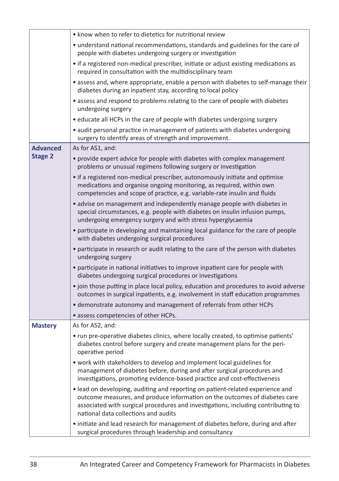|                 | • know when to refer to dietetics for nutritional review                                                                                                                                                                                                                                  |
|-----------------|-------------------------------------------------------------------------------------------------------------------------------------------------------------------------------------------------------------------------------------------------------------------------------------------|
|                 | • understand national recommendations, standards and guidelines for the care of<br>people with diabetes undergoing surgery or investigation                                                                                                                                               |
|                 | • if a registered non-medical prescriber, initiate or adjust existing medications as<br>required in consultation with the multidisciplinary team                                                                                                                                          |
|                 | • assess and, where appropriate, enable a person with diabetes to self-manage their<br>diabetes during an inpatient stay, according to local policy                                                                                                                                       |
|                 | • assess and respond to problems relating to the care of people with diabetes<br>undergoing surgery                                                                                                                                                                                       |
|                 | • educate all HCPs in the care of people with diabetes undergoing surgery                                                                                                                                                                                                                 |
|                 | • audit personal practice in management of patients with diabetes undergoing<br>surgery to identify areas of strength and improvement.                                                                                                                                                    |
| <b>Advanced</b> | As for AS1, and:                                                                                                                                                                                                                                                                          |
| <b>Stage 2</b>  | • provide expert advice for people with diabetes with complex management<br>problems or unusual regimens following surgery or investigation                                                                                                                                               |
|                 | • if a registered non-medical prescriber, autonomously initiate and optimise<br>medications and organise ongoing monitoring, as required, within own<br>competencies and scope of practice, e.g. variable-rate insulin and fluids                                                         |
|                 | • advise on management and independently manage people with diabetes in<br>special circumstances, e.g. people with diabetes on insulin infusion pumps,<br>undergoing emergency surgery and with stress hyperglycaemia                                                                     |
|                 | • participate in developing and maintaining local guidance for the care of people<br>with diabetes undergoing surgical procedures                                                                                                                                                         |
|                 | • participate in research or audit relating to the care of the person with diabetes<br>undergoing surgery                                                                                                                                                                                 |
|                 | • participate in national initiatives to improve inpatient care for people with<br>diabetes undergoing surgical procedures or investigations                                                                                                                                              |
|                 | • join those putting in place local policy, education and procedures to avoid adverse<br>outcomes in surgical inpatients, e.g. involvement in staff education programmes                                                                                                                  |
|                 | • demonstrate autonomy and management of referrals from other HCPs                                                                                                                                                                                                                        |
|                 | • assess competencies of other HCPs.                                                                                                                                                                                                                                                      |
| <b>Mastery</b>  | As for AS2, and:                                                                                                                                                                                                                                                                          |
|                 | • run pre-operative diabetes clinics, where locally created, to optimise patients'<br>diabetes control before surgery and create management plans for the peri-<br>operative period                                                                                                       |
|                 | • work with stakeholders to develop and implement local guidelines for<br>management of diabetes before, during and after surgical procedures and<br>investigations, promoting evidence-based practice and cost-effectiveness                                                             |
|                 | • lead on developing, auditing and reporting on patient-related experience and<br>outcome measures, and produce information on the outcomes of diabetes care<br>associated with surgical procedures and investigations, including contributing to<br>national data collections and audits |
|                 | • initiate and lead research for management of diabetes before, during and after<br>surgical procedures through leadership and consultancy                                                                                                                                                |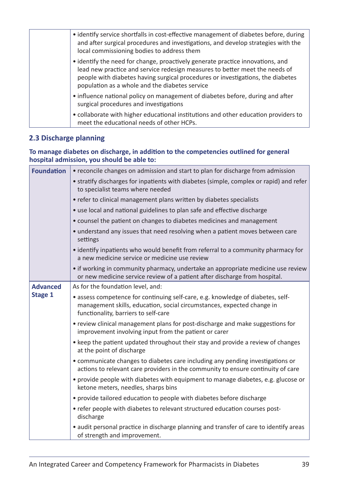| • identify service shortfalls in cost-effective management of diabetes before, during<br>and after surgical procedures and investigations, and develop strategies with the<br>local commissioning bodies to address them                                                                           |
|----------------------------------------------------------------------------------------------------------------------------------------------------------------------------------------------------------------------------------------------------------------------------------------------------|
| • identify the need for change, proactively generate practice innovations, and<br>lead new practice and service redesign measures to better meet the needs of<br>people with diabetes having surgical procedures or investigations, the diabetes<br>population as a whole and the diabetes service |
| • influence national policy on management of diabetes before, during and after<br>surgical procedures and investigations                                                                                                                                                                           |
| • collaborate with higher educational institutions and other education providers to<br>meet the educational needs of other HCPs.                                                                                                                                                                   |

#### **2.3 Discharge planning**

#### **To manage diabetes on discharge, in addition to the competencies outlined for general hospital admission, you should be able to:**

| <b>Foundation</b> | • reconcile changes on admission and start to plan for discharge from admission                                                                                                                   |
|-------------------|---------------------------------------------------------------------------------------------------------------------------------------------------------------------------------------------------|
|                   | • stratify discharges for inpatients with diabetes (simple, complex or rapid) and refer<br>to specialist teams where needed                                                                       |
|                   | • refer to clinical management plans written by diabetes specialists                                                                                                                              |
|                   | • use local and national guidelines to plan safe and effective discharge                                                                                                                          |
|                   | • counsel the patient on changes to diabetes medicines and management                                                                                                                             |
|                   | • understand any issues that need resolving when a patient moves between care<br>settings                                                                                                         |
|                   | • identify inpatients who would benefit from referral to a community pharmacy for<br>a new medicine service or medicine use review                                                                |
|                   | • if working in community pharmacy, undertake an appropriate medicine use review<br>or new medicine service review of a patient after discharge from hospital.                                    |
| <b>Advanced</b>   | As for the foundation level, and:                                                                                                                                                                 |
| Stage 1           | • assess competence for continuing self-care, e.g. knowledge of diabetes, self-<br>management skills, education, social circumstances, expected change in<br>functionality, barriers to self-care |
|                   | • review clinical management plans for post-discharge and make suggestions for<br>improvement involving input from the patient or carer                                                           |
|                   | • keep the patient updated throughout their stay and provide a review of changes<br>at the point of discharge                                                                                     |
|                   | • communicate changes to diabetes care including any pending investigations or<br>actions to relevant care providers in the community to ensure continuity of care                                |
|                   | • provide people with diabetes with equipment to manage diabetes, e.g. glucose or<br>ketone meters, needles, sharps bins                                                                          |
|                   | • provide tailored education to people with diabetes before discharge                                                                                                                             |
|                   | • refer people with diabetes to relevant structured education courses post-<br>discharge                                                                                                          |
|                   | • audit personal practice in discharge planning and transfer of care to identify areas<br>of strength and improvement.                                                                            |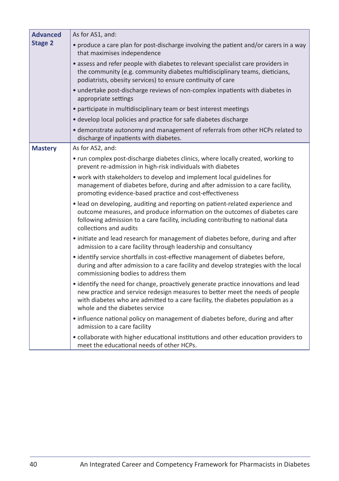| <b>Advanced</b> | As for AS1, and:                                                                                                                                                                                                                                                                         |
|-----------------|------------------------------------------------------------------------------------------------------------------------------------------------------------------------------------------------------------------------------------------------------------------------------------------|
| <b>Stage 2</b>  | • produce a care plan for post-discharge involving the patient and/or carers in a way<br>that maximises independence                                                                                                                                                                     |
|                 | • assess and refer people with diabetes to relevant specialist care providers in<br>the community (e.g. community diabetes multidisciplinary teams, dieticians,<br>podiatrists, obesity services) to ensure continuity of care                                                           |
|                 | • undertake post-discharge reviews of non-complex inpatients with diabetes in<br>appropriate settings                                                                                                                                                                                    |
|                 | • participate in multidisciplinary team or best interest meetings                                                                                                                                                                                                                        |
|                 | • develop local policies and practice for safe diabetes discharge                                                                                                                                                                                                                        |
|                 | • demonstrate autonomy and management of referrals from other HCPs related to<br>discharge of inpatients with diabetes.                                                                                                                                                                  |
| <b>Mastery</b>  | As for AS2, and:                                                                                                                                                                                                                                                                         |
|                 | • run complex post-discharge diabetes clinics, where locally created, working to<br>prevent re-admission in high-risk individuals with diabetes                                                                                                                                          |
|                 | • work with stakeholders to develop and implement local guidelines for<br>management of diabetes before, during and after admission to a care facility,<br>promoting evidence-based practice and cost-effectiveness                                                                      |
|                 | • lead on developing, auditing and reporting on patient-related experience and<br>outcome measures, and produce information on the outcomes of diabetes care<br>following admission to a care facility, including contributing to national data<br>collections and audits                |
|                 | • initiate and lead research for management of diabetes before, during and after<br>admission to a care facility through leadership and consultancy                                                                                                                                      |
|                 | • identify service shortfalls in cost-effective management of diabetes before,<br>during and after admission to a care facility and develop strategies with the local<br>commissioning bodies to address them                                                                            |
|                 | • identify the need for change, proactively generate practice innovations and lead<br>new practice and service redesign measures to better meet the needs of people<br>with diabetes who are admitted to a care facility, the diabetes population as a<br>whole and the diabetes service |
|                 | • influence national policy on management of diabetes before, during and after<br>admission to a care facility                                                                                                                                                                           |
|                 | • collaborate with higher educational institutions and other education providers to<br>meet the educational needs of other HCPs.                                                                                                                                                         |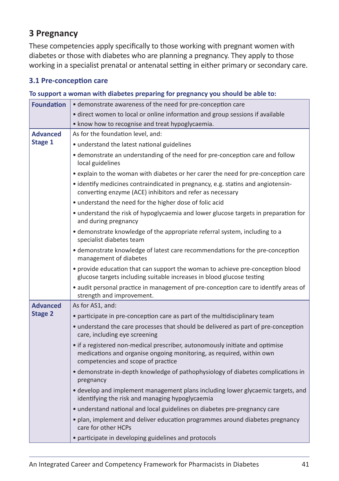#### **3 Pregnancy**

These competencies apply specifically to those working with pregnant women with diabetes or those with diabetes who are planning a pregnancy. They apply to those working in a specialist prenatal or antenatal setting in either primary or secondary care.

#### **3.1 Pre-conception care**

#### **To support a woman with diabetes preparing for pregnancy you should be able to:**

| <b>Foundation</b> | • demonstrate awareness of the need for pre-conception care                                                                                                                                |
|-------------------|--------------------------------------------------------------------------------------------------------------------------------------------------------------------------------------------|
|                   | • direct women to local or online information and group sessions if available                                                                                                              |
|                   | • know how to recognise and treat hypoglycaemia.                                                                                                                                           |
| <b>Advanced</b>   | As for the foundation level, and:                                                                                                                                                          |
| Stage 1           | • understand the latest national guidelines                                                                                                                                                |
|                   | • demonstrate an understanding of the need for pre-conception care and follow<br>local guidelines                                                                                          |
|                   | • explain to the woman with diabetes or her carer the need for pre-conception care                                                                                                         |
|                   | • identify medicines contraindicated in pregnancy, e.g. statins and angiotensin-<br>converting enzyme (ACE) inhibitors and refer as necessary                                              |
|                   | • understand the need for the higher dose of folic acid                                                                                                                                    |
|                   | • understand the risk of hypoglycaemia and lower glucose targets in preparation for<br>and during pregnancy                                                                                |
|                   | • demonstrate knowledge of the appropriate referral system, including to a<br>specialist diabetes team                                                                                     |
|                   | • demonstrate knowledge of latest care recommendations for the pre-conception<br>management of diabetes                                                                                    |
|                   | • provide education that can support the woman to achieve pre-conception blood<br>glucose targets including suitable increases in blood glucose testing                                    |
|                   | • audit personal practice in management of pre-conception care to identify areas of<br>strength and improvement.                                                                           |
| <b>Advanced</b>   | As for AS1, and:                                                                                                                                                                           |
| <b>Stage 2</b>    | • participate in pre-conception care as part of the multidisciplinary team                                                                                                                 |
|                   | • understand the care processes that should be delivered as part of pre-conception<br>care, including eye screening                                                                        |
|                   | • if a registered non-medical prescriber, autonomously initiate and optimise<br>medications and organise ongoing monitoring, as required, within own<br>competencies and scope of practice |
|                   | · demonstrate in-depth knowledge of pathophysiology of diabetes complications in<br>pregnancy                                                                                              |
|                   | • develop and implement management plans including lower glycaemic targets, and<br>identifying the risk and managing hypoglycaemia                                                         |
|                   | • understand national and local guidelines on diabetes pre-pregnancy care                                                                                                                  |
|                   | • plan, implement and deliver education programmes around diabetes pregnancy<br>care for other HCPs                                                                                        |
|                   | • participate in developing guidelines and protocols                                                                                                                                       |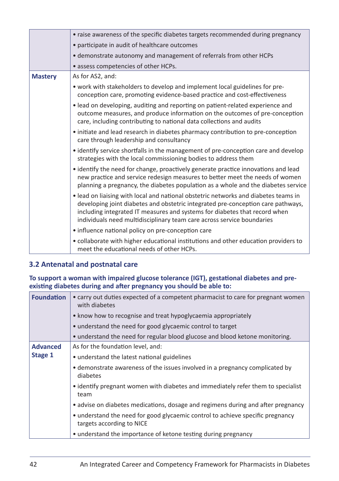|                | • raise awareness of the specific diabetes targets recommended during pregnancy                                                                                                                                                                                                                                                 |
|----------------|---------------------------------------------------------------------------------------------------------------------------------------------------------------------------------------------------------------------------------------------------------------------------------------------------------------------------------|
|                | • participate in audit of healthcare outcomes                                                                                                                                                                                                                                                                                   |
|                | · demonstrate autonomy and management of referrals from other HCPs                                                                                                                                                                                                                                                              |
|                | • assess competencies of other HCPs.                                                                                                                                                                                                                                                                                            |
| <b>Mastery</b> | As for AS2, and:                                                                                                                                                                                                                                                                                                                |
|                | • work with stakeholders to develop and implement local guidelines for pre-<br>conception care, promoting evidence-based practice and cost-effectiveness                                                                                                                                                                        |
|                | • lead on developing, auditing and reporting on patient-related experience and<br>outcome measures, and produce information on the outcomes of pre-conception<br>care, including contributing to national data collections and audits                                                                                           |
|                | • initiate and lead research in diabetes pharmacy contribution to pre-conception<br>care through leadership and consultancy                                                                                                                                                                                                     |
|                | • identify service shortfalls in the management of pre-conception care and develop<br>strategies with the local commissioning bodies to address them                                                                                                                                                                            |
|                | • identify the need for change, proactively generate practice innovations and lead<br>new practice and service redesign measures to better meet the needs of women<br>planning a pregnancy, the diabetes population as a whole and the diabetes service                                                                         |
|                | • lead on liaising with local and national obstetric networks and diabetes teams in<br>developing joint diabetes and obstetric integrated pre-conception care pathways,<br>including integrated IT measures and systems for diabetes that record when<br>individuals need multidisciplinary team care across service boundaries |
|                | • influence national policy on pre-conception care                                                                                                                                                                                                                                                                              |
|                | • collaborate with higher educational institutions and other education providers to<br>meet the educational needs of other HCPs.                                                                                                                                                                                                |

#### **3.2 Antenatal and postnatal care**

**To support a woman with impaired glucose tolerance (IGT), gestational diabetes and preexisting diabetes during and after pregnancy you should be able to:**

| <b>Foundation</b> | • carry out duties expected of a competent pharmacist to care for pregnant women<br>with diabetes           |
|-------------------|-------------------------------------------------------------------------------------------------------------|
|                   | • know how to recognise and treat hypoglycaemia appropriately                                               |
|                   | • understand the need for good glycaemic control to target                                                  |
|                   | • understand the need for regular blood glucose and blood ketone monitoring.                                |
| <b>Advanced</b>   | As for the foundation level, and:                                                                           |
| Stage 1           | • understand the latest national guidelines                                                                 |
|                   | • demonstrate awareness of the issues involved in a pregnancy complicated by<br>diabetes                    |
|                   | • identify pregnant women with diabetes and immediately refer them to specialist<br>team                    |
|                   | • advise on diabetes medications, dosage and regimens during and after pregnancy                            |
|                   | • understand the need for good glycaemic control to achieve specific pregnancy<br>targets according to NICE |
|                   | • understand the importance of ketone testing during pregnancy                                              |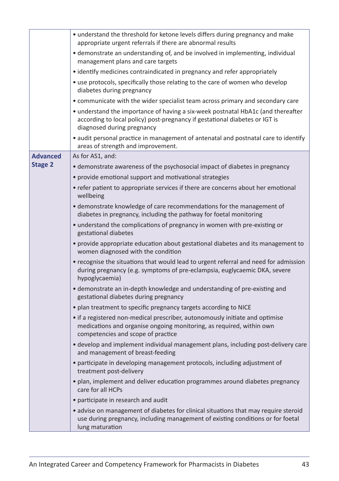|                 | • understand the threshold for ketone levels differs during pregnancy and make<br>appropriate urgent referrals if there are abnormal results                                                  |
|-----------------|-----------------------------------------------------------------------------------------------------------------------------------------------------------------------------------------------|
|                 | • demonstrate an understanding of, and be involved in implementing, individual<br>management plans and care targets                                                                           |
|                 | • identify medicines contraindicated in pregnancy and refer appropriately                                                                                                                     |
|                 | • use protocols, specifically those relating to the care of women who develop<br>diabetes during pregnancy                                                                                    |
|                 | • communicate with the wider specialist team across primary and secondary care                                                                                                                |
|                 | • understand the importance of having a six-week postnatal HbA1c (and thereafter<br>according to local policy) post-pregnancy if gestational diabetes or IGT is<br>diagnosed during pregnancy |
|                 | • audit personal practice in management of antenatal and postnatal care to identify<br>areas of strength and improvement.                                                                     |
| <b>Advanced</b> | As for AS1, and:                                                                                                                                                                              |
| <b>Stage 2</b>  | • demonstrate awareness of the psychosocial impact of diabetes in pregnancy                                                                                                                   |
|                 | • provide emotional support and motivational strategies                                                                                                                                       |
|                 | • refer patient to appropriate services if there are concerns about her emotional<br>wellbeing                                                                                                |
|                 | • demonstrate knowledge of care recommendations for the management of<br>diabetes in pregnancy, including the pathway for foetal monitoring                                                   |
|                 | • understand the complications of pregnancy in women with pre-existing or<br>gestational diabetes                                                                                             |
|                 | • provide appropriate education about gestational diabetes and its management to<br>women diagnosed with the condition                                                                        |
|                 | • recognise the situations that would lead to urgent referral and need for admission<br>during pregnancy (e.g. symptoms of pre-eclampsia, euglycaemic DKA, severe<br>hypoglycaemia)           |
|                 | · demonstrate an in-depth knowledge and understanding of pre-existing and<br>gestational diabetes during pregnancy                                                                            |
|                 | • plan treatment to specific pregnancy targets according to NICE                                                                                                                              |
|                 | • if a registered non-medical prescriber, autonomously initiate and optimise<br>medications and organise ongoing monitoring, as required, within own<br>competencies and scope of practice    |
|                 | • develop and implement individual management plans, including post-delivery care<br>and management of breast-feeding                                                                         |
|                 | • participate in developing management protocols, including adjustment of<br>treatment post-delivery                                                                                          |
|                 | • plan, implement and deliver education programmes around diabetes pregnancy<br>care for all HCPs                                                                                             |
|                 | • participate in research and audit                                                                                                                                                           |
|                 | • advise on management of diabetes for clinical situations that may require steroid<br>use during pregnancy, including management of existing conditions or for foetal<br>lung maturation     |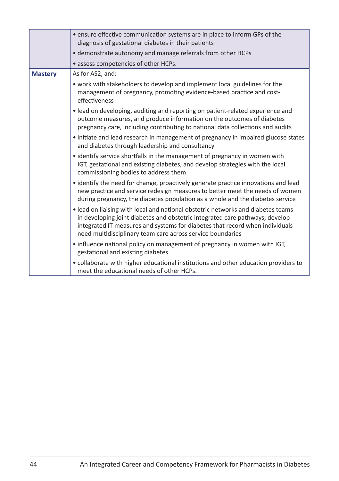|                | • ensure effective communication systems are in place to inform GPs of the<br>diagnosis of gestational diabetes in their patients                                                                                                                                                                              |
|----------------|----------------------------------------------------------------------------------------------------------------------------------------------------------------------------------------------------------------------------------------------------------------------------------------------------------------|
|                | • demonstrate autonomy and manage referrals from other HCPs                                                                                                                                                                                                                                                    |
|                | • assess competencies of other HCPs.                                                                                                                                                                                                                                                                           |
| <b>Mastery</b> | As for AS2, and:                                                                                                                                                                                                                                                                                               |
|                | • work with stakeholders to develop and implement local guidelines for the<br>management of pregnancy, promoting evidence-based practice and cost-<br>effectiveness                                                                                                                                            |
|                | • lead on developing, auditing and reporting on patient-related experience and<br>outcome measures, and produce information on the outcomes of diabetes<br>pregnancy care, including contributing to national data collections and audits                                                                      |
|                | • initiate and lead research in management of pregnancy in impaired glucose states<br>and diabetes through leadership and consultancy                                                                                                                                                                          |
|                | • identify service shortfalls in the management of pregnancy in women with<br>IGT, gestational and existing diabetes, and develop strategies with the local<br>commissioning bodies to address them                                                                                                            |
|                | • identify the need for change, proactively generate practice innovations and lead<br>new practice and service redesign measures to better meet the needs of women<br>during pregnancy, the diabetes population as a whole and the diabetes service                                                            |
|                | • lead on liaising with local and national obstetric networks and diabetes teams<br>in developing joint diabetes and obstetric integrated care pathways; develop<br>integrated IT measures and systems for diabetes that record when individuals<br>need multidisciplinary team care across service boundaries |
|                | • influence national policy on management of pregnancy in women with IGT,<br>gestational and existing diabetes                                                                                                                                                                                                 |
|                | • collaborate with higher educational institutions and other education providers to<br>meet the educational needs of other HCPs.                                                                                                                                                                               |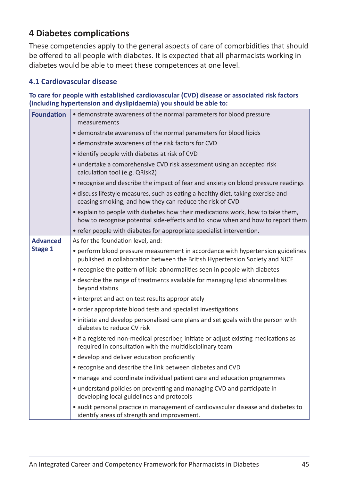### **4 Diabetes complications**

These competencies apply to the general aspects of care of comorbidities that should be offered to all people with diabetes. It is expected that all pharmacists working in diabetes would be able to meet these competences at one level.

#### **4.1 Cardiovascular disease**

**To care for people with established cardiovascular (CVD) disease or associated risk factors (including hypertension and dyslipidaemia) you should be able to:**

| <b>Foundation</b> | • demonstrate awareness of the normal parameters for blood pressure<br>measurements                                                                                |
|-------------------|--------------------------------------------------------------------------------------------------------------------------------------------------------------------|
|                   | • demonstrate awareness of the normal parameters for blood lipids                                                                                                  |
|                   | • demonstrate awareness of the risk factors for CVD                                                                                                                |
|                   | • identify people with diabetes at risk of CVD                                                                                                                     |
|                   | • undertake a comprehensive CVD risk assessment using an accepted risk<br>calculation tool (e.g. QRisk2)                                                           |
|                   | • recognise and describe the impact of fear and anxiety on blood pressure readings                                                                                 |
|                   | • discuss lifestyle measures, such as eating a healthy diet, taking exercise and<br>ceasing smoking, and how they can reduce the risk of CVD                       |
|                   | • explain to people with diabetes how their medications work, how to take them,<br>how to recognise potential side-effects and to know when and how to report them |
|                   | • refer people with diabetes for appropriate specialist intervention.                                                                                              |
| <b>Advanced</b>   | As for the foundation level, and:                                                                                                                                  |
| Stage 1           | • perform blood pressure measurement in accordance with hypertension guidelines<br>published in collaboration between the British Hypertension Society and NICE    |
|                   | • recognise the pattern of lipid abnormalities seen in people with diabetes                                                                                        |
|                   | • describe the range of treatments available for managing lipid abnormalities<br>beyond statins                                                                    |
|                   | • interpret and act on test results appropriately                                                                                                                  |
|                   | • order appropriate blood tests and specialist investigations                                                                                                      |
|                   | • initiate and develop personalised care plans and set goals with the person with<br>diabetes to reduce CV risk                                                    |
|                   | • if a registered non-medical prescriber, initiate or adjust existing medications as<br>required in consultation with the multidisciplinary team                   |
|                   | • develop and deliver education proficiently                                                                                                                       |
|                   | • recognise and describe the link between diabetes and CVD                                                                                                         |
|                   | • manage and coordinate individual patient care and education programmes                                                                                           |
|                   | • understand policies on preventing and managing CVD and participate in<br>developing local guidelines and protocols                                               |
|                   | • audit personal practice in management of cardiovascular disease and diabetes to<br>identify areas of strength and improvement.                                   |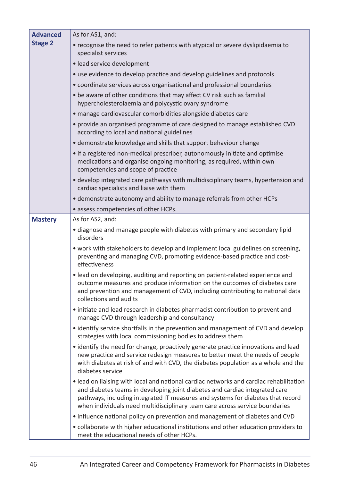| <b>Advanced</b> | As for AS1, and:                                                                                                                                                                                                                                                                                                                        |
|-----------------|-----------------------------------------------------------------------------------------------------------------------------------------------------------------------------------------------------------------------------------------------------------------------------------------------------------------------------------------|
| <b>Stage 2</b>  | • recognise the need to refer patients with atypical or severe dyslipidaemia to<br>specialist services                                                                                                                                                                                                                                  |
|                 | · lead service development                                                                                                                                                                                                                                                                                                              |
|                 | • use evidence to develop practice and develop guidelines and protocols                                                                                                                                                                                                                                                                 |
|                 | • coordinate services across organisational and professional boundaries                                                                                                                                                                                                                                                                 |
|                 | • be aware of other conditions that may affect CV risk such as familial<br>hypercholesterolaemia and polycystic ovary syndrome                                                                                                                                                                                                          |
|                 | · manage cardiovascular comorbidities alongside diabetes care                                                                                                                                                                                                                                                                           |
|                 | • provide an organised programme of care designed to manage established CVD<br>according to local and national guidelines                                                                                                                                                                                                               |
|                 | • demonstrate knowledge and skills that support behaviour change                                                                                                                                                                                                                                                                        |
|                 | • if a registered non-medical prescriber, autonomously initiate and optimise<br>medications and organise ongoing monitoring, as required, within own<br>competencies and scope of practice                                                                                                                                              |
|                 | • develop integrated care pathways with multidisciplinary teams, hypertension and<br>cardiac specialists and liaise with them                                                                                                                                                                                                           |
|                 | • demonstrate autonomy and ability to manage referrals from other HCPs                                                                                                                                                                                                                                                                  |
|                 | • assess competencies of other HCPs.                                                                                                                                                                                                                                                                                                    |
| <b>Mastery</b>  | As for AS2, and:                                                                                                                                                                                                                                                                                                                        |
|                 | • diagnose and manage people with diabetes with primary and secondary lipid<br>disorders                                                                                                                                                                                                                                                |
|                 | • work with stakeholders to develop and implement local guidelines on screening,<br>preventing and managing CVD, promoting evidence-based practice and cost-<br>effectiveness                                                                                                                                                           |
|                 | • lead on developing, auditing and reporting on patient-related experience and<br>outcome measures and produce information on the outcomes of diabetes care<br>and prevention and management of CVD, including contributing to national data<br>collections and audits                                                                  |
|                 | • initiate and lead research in diabetes pharmacist contribution to prevent and<br>manage CVD through leadership and consultancy                                                                                                                                                                                                        |
|                 | • identify service shortfalls in the prevention and management of CVD and develop<br>strategies with local commissioning bodies to address them                                                                                                                                                                                         |
|                 | • identify the need for change, proactively generate practice innovations and lead<br>new practice and service redesign measures to better meet the needs of people<br>with diabetes at risk of and with CVD, the diabetes population as a whole and the<br>diabetes service                                                            |
|                 | • lead on liaising with local and national cardiac networks and cardiac rehabilitation<br>and diabetes teams in developing joint diabetes and cardiac integrated care<br>pathways, including integrated IT measures and systems for diabetes that record<br>when individuals need multidisciplinary team care across service boundaries |
|                 | • influence national policy on prevention and management of diabetes and CVD                                                                                                                                                                                                                                                            |
|                 | • collaborate with higher educational institutions and other education providers to<br>meet the educational needs of other HCPs.                                                                                                                                                                                                        |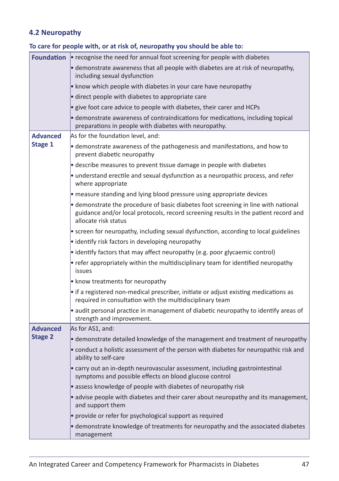#### **4.2 Neuropathy**

|                   | To care for people with, or at risk of, neuropathy you should be able to:                                                                                                                         |
|-------------------|---------------------------------------------------------------------------------------------------------------------------------------------------------------------------------------------------|
| <b>Foundation</b> | • recognise the need for annual foot screening for people with diabetes                                                                                                                           |
|                   | • demonstrate awareness that all people with diabetes are at risk of neuropathy,<br>including sexual dysfunction                                                                                  |
|                   | • know which people with diabetes in your care have neuropathy                                                                                                                                    |
|                   | • direct people with diabetes to appropriate care                                                                                                                                                 |
|                   | • give foot care advice to people with diabetes, their carer and HCPs                                                                                                                             |
|                   | • demonstrate awareness of contraindications for medications, including topical<br>preparations in people with diabetes with neuropathy.                                                          |
| <b>Advanced</b>   | As for the foundation level, and:                                                                                                                                                                 |
| Stage 1           | • demonstrate awareness of the pathogenesis and manifestations, and how to<br>prevent diabetic neuropathy                                                                                         |
|                   | • describe measures to prevent tissue damage in people with diabetes                                                                                                                              |
|                   | • understand erectile and sexual dysfunction as a neuropathic process, and refer<br>where appropriate                                                                                             |
|                   | • measure standing and lying blood pressure using appropriate devices                                                                                                                             |
|                   | • demonstrate the procedure of basic diabetes foot screening in line with national<br>guidance and/or local protocols, record screening results in the patient record and<br>allocate risk status |
|                   | • screen for neuropathy, including sexual dysfunction, according to local guidelines                                                                                                              |
|                   | • identify risk factors in developing neuropathy                                                                                                                                                  |
|                   | • identify factors that may affect neuropathy (e.g. poor glycaemic control)                                                                                                                       |
|                   | • refer appropriately within the multidisciplinary team for identified neuropathy<br>issues                                                                                                       |
|                   | • know treatments for neuropathy                                                                                                                                                                  |
|                   | • if a registered non-medical prescriber, initiate or adjust existing medications as<br>required in consultation with the multidisciplinary team                                                  |
|                   | • audit personal practice in management of diabetic neuropathy to identify areas of<br>strength and improvement.                                                                                  |
| <b>Advanced</b>   | As for AS1, and:                                                                                                                                                                                  |
| <b>Stage 2</b>    | • demonstrate detailed knowledge of the management and treatment of neuropathy                                                                                                                    |
|                   | • conduct a holistic assessment of the person with diabetes for neuropathic risk and<br>ability to self-care                                                                                      |
|                   | • carry out an in-depth neurovascular assessment, including gastrointestinal<br>symptoms and possible effects on blood glucose control                                                            |
|                   | · assess knowledge of people with diabetes of neuropathy risk                                                                                                                                     |
|                   | • advise people with diabetes and their carer about neuropathy and its management,<br>and support them                                                                                            |
|                   | • provide or refer for psychological support as required                                                                                                                                          |
|                   | • demonstrate knowledge of treatments for neuropathy and the associated diabetes<br>management                                                                                                    |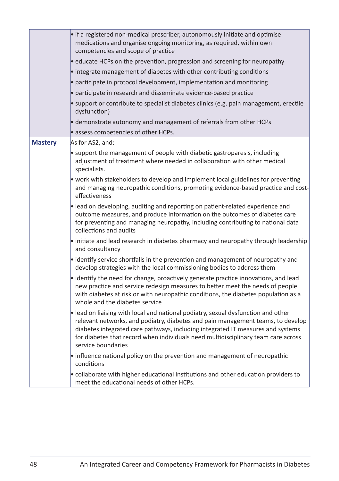|                | • if a registered non-medical prescriber, autonomously initiate and optimise<br>medications and organise ongoing monitoring, as required, within own<br>competencies and scope of practice                                                                                                                                                                         |
|----------------|--------------------------------------------------------------------------------------------------------------------------------------------------------------------------------------------------------------------------------------------------------------------------------------------------------------------------------------------------------------------|
|                | • educate HCPs on the prevention, progression and screening for neuropathy                                                                                                                                                                                                                                                                                         |
|                | • integrate management of diabetes with other contributing conditions                                                                                                                                                                                                                                                                                              |
|                | · participate in protocol development, implementation and monitoring                                                                                                                                                                                                                                                                                               |
|                | • participate in research and disseminate evidence-based practice                                                                                                                                                                                                                                                                                                  |
|                | • support or contribute to specialist diabetes clinics (e.g. pain management, erectile<br>dysfunction)                                                                                                                                                                                                                                                             |
|                | • demonstrate autonomy and management of referrals from other HCPs                                                                                                                                                                                                                                                                                                 |
|                | · assess competencies of other HCPs.                                                                                                                                                                                                                                                                                                                               |
| <b>Mastery</b> | As for AS2, and:                                                                                                                                                                                                                                                                                                                                                   |
|                | • support the management of people with diabetic gastroparesis, including<br>adjustment of treatment where needed in collaboration with other medical<br>specialists.                                                                                                                                                                                              |
|                | • work with stakeholders to develop and implement local guidelines for preventing<br>and managing neuropathic conditions, promoting evidence-based practice and cost-<br>effectiveness                                                                                                                                                                             |
|                | • lead on developing, auditing and reporting on patient-related experience and<br>outcome measures, and produce information on the outcomes of diabetes care<br>for preventing and managing neuropathy, including contributing to national data<br>collections and audits                                                                                          |
|                | • initiate and lead research in diabetes pharmacy and neuropathy through leadership<br>and consultancy                                                                                                                                                                                                                                                             |
|                | • identify service shortfalls in the prevention and management of neuropathy and<br>develop strategies with the local commissioning bodies to address them                                                                                                                                                                                                         |
|                | • identify the need for change, proactively generate practice innovations, and lead<br>new practice and service redesign measures to better meet the needs of people<br>with diabetes at risk or with neuropathic conditions, the diabetes population as a<br>whole and the diabetes service                                                                       |
|                | . lead on liaising with local and national podiatry, sexual dysfunction and other<br>relevant networks, and podiatry, diabetes and pain management teams, to develop<br>diabetes integrated care pathways, including integrated IT measures and systems<br>for diabetes that record when individuals need multidisciplinary team care across<br>service boundaries |
|                | • influence national policy on the prevention and management of neuropathic<br>conditions                                                                                                                                                                                                                                                                          |
|                | • collaborate with higher educational institutions and other education providers to<br>meet the educational needs of other HCPs.                                                                                                                                                                                                                                   |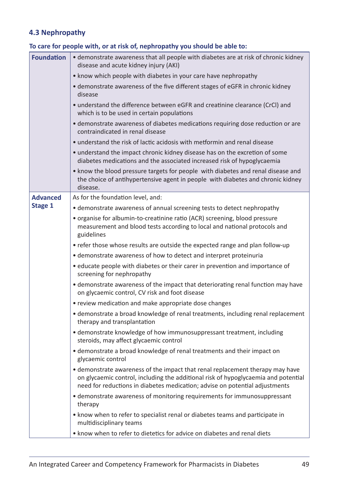#### **4.3 Nephropathy**

| <b>Foundation</b> | • demonstrate awareness that all people with diabetes are at risk of chronic kidney<br>disease and acute kidney injury (AKI)                                                                                                                       |
|-------------------|----------------------------------------------------------------------------------------------------------------------------------------------------------------------------------------------------------------------------------------------------|
|                   | • know which people with diabetes in your care have nephropathy                                                                                                                                                                                    |
|                   | • demonstrate awareness of the five different stages of eGFR in chronic kidney<br>disease                                                                                                                                                          |
|                   | • understand the difference between eGFR and creatinine clearance (CrCI) and<br>which is to be used in certain populations                                                                                                                         |
|                   | • demonstrate awareness of diabetes medications requiring dose reduction or are<br>contraindicated in renal disease                                                                                                                                |
|                   | • understand the risk of lactic acidosis with metformin and renal disease                                                                                                                                                                          |
|                   | • understand the impact chronic kidney disease has on the excretion of some<br>diabetes medications and the associated increased risk of hypoglycaemia                                                                                             |
|                   | • know the blood pressure targets for people with diabetes and renal disease and<br>the choice of antihypertensive agent in people with diabetes and chronic kidney<br>disease.                                                                    |
| <b>Advanced</b>   | As for the foundation level, and:                                                                                                                                                                                                                  |
| Stage 1           | • demonstrate awareness of annual screening tests to detect nephropathy                                                                                                                                                                            |
|                   | • organise for albumin-to-creatinine ratio (ACR) screening, blood pressure<br>measurement and blood tests according to local and national protocols and<br>guidelines                                                                              |
|                   | • refer those whose results are outside the expected range and plan follow-up                                                                                                                                                                      |
|                   | • demonstrate awareness of how to detect and interpret proteinuria                                                                                                                                                                                 |
|                   | • educate people with diabetes or their carer in prevention and importance of<br>screening for nephropathy                                                                                                                                         |
|                   | • demonstrate awareness of the impact that deteriorating renal function may have<br>on glycaemic control, CV risk and foot disease                                                                                                                 |
|                   | • review medication and make appropriate dose changes                                                                                                                                                                                              |
|                   | • demonstrate a broad knowledge of renal treatments, including renal replacement<br>therapy and transplantation                                                                                                                                    |
|                   | • demonstrate knowledge of how immunosuppressant treatment, including<br>steroids, may affect glycaemic control                                                                                                                                    |
|                   | • demonstrate a broad knowledge of renal treatments and their impact on<br>glycaemic control                                                                                                                                                       |
|                   | • demonstrate awareness of the impact that renal replacement therapy may have<br>on glycaemic control, including the additional risk of hypoglycaemia and potential<br>need for reductions in diabetes medication; advise on potential adjustments |
|                   | • demonstrate awareness of monitoring requirements for immunosuppressant<br>therapy                                                                                                                                                                |
|                   | • know when to refer to specialist renal or diabetes teams and participate in<br>multidisciplinary teams                                                                                                                                           |
|                   | • know when to refer to dietetics for advice on diabetes and renal diets                                                                                                                                                                           |

#### **To care for people with, or at risk of, nephropathy you should be able to:**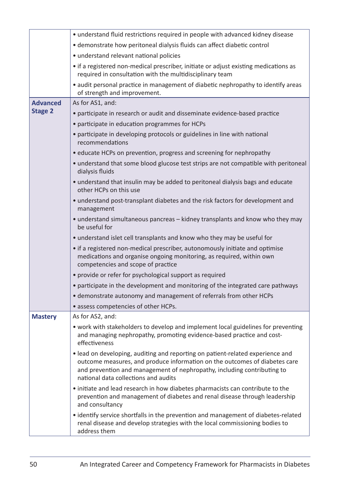|                 | • understand fluid restrictions required in people with advanced kidney disease                                                                                                                                                                                                 |
|-----------------|---------------------------------------------------------------------------------------------------------------------------------------------------------------------------------------------------------------------------------------------------------------------------------|
|                 | • demonstrate how peritoneal dialysis fluids can affect diabetic control                                                                                                                                                                                                        |
|                 | • understand relevant national policies                                                                                                                                                                                                                                         |
|                 | • if a registered non-medical prescriber, initiate or adjust existing medications as<br>required in consultation with the multidisciplinary team                                                                                                                                |
|                 | • audit personal practice in management of diabetic nephropathy to identify areas<br>of strength and improvement.                                                                                                                                                               |
| <b>Advanced</b> | As for AS1, and:                                                                                                                                                                                                                                                                |
| <b>Stage 2</b>  | • participate in research or audit and disseminate evidence-based practice                                                                                                                                                                                                      |
|                 | • participate in education programmes for HCPs                                                                                                                                                                                                                                  |
|                 | • participate in developing protocols or guidelines in line with national<br>recommendations                                                                                                                                                                                    |
|                 | • educate HCPs on prevention, progress and screening for nephropathy                                                                                                                                                                                                            |
|                 | • understand that some blood glucose test strips are not compatible with peritoneal<br>dialysis fluids                                                                                                                                                                          |
|                 | • understand that insulin may be added to peritoneal dialysis bags and educate<br>other HCPs on this use                                                                                                                                                                        |
|                 | • understand post-transplant diabetes and the risk factors for development and<br>management                                                                                                                                                                                    |
|                 | • understand simultaneous pancreas – kidney transplants and know who they may<br>be useful for                                                                                                                                                                                  |
|                 | • understand islet cell transplants and know who they may be useful for                                                                                                                                                                                                         |
|                 | • if a registered non-medical prescriber, autonomously initiate and optimise<br>medications and organise ongoing monitoring, as required, within own<br>competencies and scope of practice                                                                                      |
|                 | • provide or refer for psychological support as required                                                                                                                                                                                                                        |
|                 | • participate in the development and monitoring of the integrated care pathways                                                                                                                                                                                                 |
|                 | • demonstrate autonomy and management of referrals from other HCPs                                                                                                                                                                                                              |
|                 | • assess competencies of other HCPs.                                                                                                                                                                                                                                            |
| <b>Mastery</b>  | As for AS2, and:                                                                                                                                                                                                                                                                |
|                 | • work with stakeholders to develop and implement local guidelines for preventing<br>and managing nephropathy, promoting evidence-based practice and cost-<br>effectiveness                                                                                                     |
|                 | • lead on developing, auditing and reporting on patient-related experience and<br>outcome measures, and produce information on the outcomes of diabetes care<br>and prevention and management of nephropathy, including contributing to<br>national data collections and audits |
|                 | • initiate and lead research in how diabetes pharmacists can contribute to the<br>prevention and management of diabetes and renal disease through leadership<br>and consultancy                                                                                                 |
|                 | • identify service shortfalls in the prevention and management of diabetes-related<br>renal disease and develop strategies with the local commissioning bodies to<br>address them                                                                                               |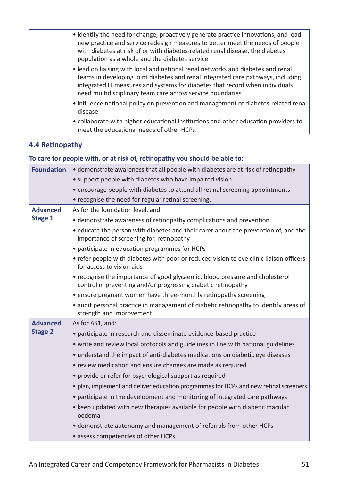| • identify the need for change, proactively generate practice innovations, and lead<br>new practice and service redesign measures to better meet the needs of people<br>with diabetes at risk of or with diabetes-related renal disease, the diabetes<br>population as a whole and the diabetes service            |
|--------------------------------------------------------------------------------------------------------------------------------------------------------------------------------------------------------------------------------------------------------------------------------------------------------------------|
| • lead on liaising with local and national renal networks and diabetes and renal<br>teams in developing joint diabetes and renal integrated care pathways, including<br>integrated IT measures and systems for diabetes that record when individuals<br>need multidisciplinary team care across service boundaries |
| • influence national policy on prevention and management of diabetes-related renal<br>disease                                                                                                                                                                                                                      |
| • collaborate with higher educational institutions and other education providers to<br>meet the educational needs of other HCPs.                                                                                                                                                                                   |

#### **4.4 Retinopathy**

#### **To care for people with, or at risk of, retinopathy you should be able to:**

| <b>Foundation</b> | • demonstrate awareness that all people with diabetes are at risk of retinopathy                                                              |
|-------------------|-----------------------------------------------------------------------------------------------------------------------------------------------|
|                   | • support people with diabetes who have impaired vision                                                                                       |
|                   | • encourage people with diabetes to attend all retinal screening appointments                                                                 |
|                   | • recognise the need for regular retinal screening.                                                                                           |
| <b>Advanced</b>   | As for the foundation level, and:                                                                                                             |
| Stage 1           | • demonstrate awareness of retinopathy complications and prevention                                                                           |
|                   | • educate the person with diabetes and their carer about the prevention of, and the<br>importance of screening for, retinopathy               |
|                   | • participate in education programmes for HCPs                                                                                                |
|                   | • refer people with diabetes with poor or reduced vision to eye clinic liaison officers<br>for access to vision aids                          |
|                   | • recognise the importance of good glycaemic, blood pressure and cholesterol<br>control in preventing and/or progressing diabetic retinopathy |
|                   | • ensure pregnant women have three-monthly retinopathy screening                                                                              |
|                   | • audit personal practice in management of diabetic retinopathy to identify areas of<br>strength and improvement.                             |
| <b>Advanced</b>   | As for AS1, and:                                                                                                                              |
| <b>Stage 2</b>    | • participate in research and disseminate evidence-based practice                                                                             |
|                   | • write and review local protocols and guidelines in line with national guidelines                                                            |
|                   | • understand the impact of anti-diabetes medications on diabetic eye diseases                                                                 |
|                   | • review medication and ensure changes are made as required                                                                                   |
|                   | • provide or refer for psychological support as required                                                                                      |
|                   | • plan, implement and deliver education programmes for HCPs and new retinal screeners                                                         |
|                   | • participate in the development and monitoring of integrated care pathways                                                                   |
|                   | • keep updated with new therapies available for people with diabetic macular<br>oedema                                                        |
|                   | • demonstrate autonomy and management of referrals from other HCPs                                                                            |
|                   | · assess competencies of other HCPs.                                                                                                          |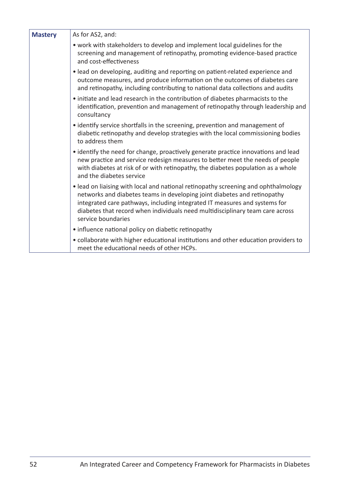| <b>Mastery</b> | As for AS2, and:                                                                                                                                                                                                                                                                                                                                    |
|----------------|-----------------------------------------------------------------------------------------------------------------------------------------------------------------------------------------------------------------------------------------------------------------------------------------------------------------------------------------------------|
|                | • work with stakeholders to develop and implement local guidelines for the<br>screening and management of retinopathy, promoting evidence-based practice<br>and cost-effectiveness                                                                                                                                                                  |
|                | • lead on developing, auditing and reporting on patient-related experience and<br>outcome measures, and produce information on the outcomes of diabetes care<br>and retinopathy, including contributing to national data collections and audits                                                                                                     |
|                | • initiate and lead research in the contribution of diabetes pharmacists to the<br>identification, prevention and management of retinopathy through leadership and<br>consultancy                                                                                                                                                                   |
|                | • identify service shortfalls in the screening, prevention and management of<br>diabetic retinopathy and develop strategies with the local commissioning bodies<br>to address them                                                                                                                                                                  |
|                | • identify the need for change, proactively generate practice innovations and lead<br>new practice and service redesign measures to better meet the needs of people<br>with diabetes at risk of or with retinopathy, the diabetes population as a whole<br>and the diabetes service                                                                 |
|                | • lead on liaising with local and national retinopathy screening and ophthalmology<br>networks and diabetes teams in developing joint diabetes and retinopathy<br>integrated care pathways, including integrated IT measures and systems for<br>diabetes that record when individuals need multidisciplinary team care across<br>service boundaries |
|                | • influence national policy on diabetic retinopathy                                                                                                                                                                                                                                                                                                 |
|                | • collaborate with higher educational institutions and other education providers to<br>meet the educational needs of other HCPs.                                                                                                                                                                                                                    |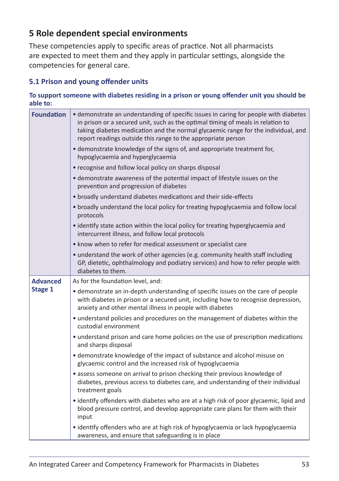#### **5 Role dependent special environments**

These competencies apply to specific areas of practice. Not all pharmacists are expected to meet them and they apply in particular settings, alongside the competencies for general care.

#### **5.1 Prison and young offender units**

#### **To support someone with diabetes residing in a prison or young offender unit you should be able to:**

| <b>Foundation</b> | • demonstrate an understanding of specific issues in caring for people with diabetes<br>in prison or a secured unit, such as the optimal timing of meals in relation to<br>taking diabetes medication and the normal glycaemic range for the individual, and<br>report readings outside this range to the appropriate person |
|-------------------|------------------------------------------------------------------------------------------------------------------------------------------------------------------------------------------------------------------------------------------------------------------------------------------------------------------------------|
|                   | • demonstrate knowledge of the signs of, and appropriate treatment for,<br>hypoglycaemia and hyperglycaemia                                                                                                                                                                                                                  |
|                   | • recognise and follow local policy on sharps disposal                                                                                                                                                                                                                                                                       |
|                   | · demonstrate awareness of the potential impact of lifestyle issues on the<br>prevention and progression of diabetes                                                                                                                                                                                                         |
|                   | • broadly understand diabetes medications and their side-effects                                                                                                                                                                                                                                                             |
|                   | • broadly understand the local policy for treating hypoglycaemia and follow local<br>protocols                                                                                                                                                                                                                               |
|                   | • identify state action within the local policy for treating hyperglycaemia and<br>intercurrent illness, and follow local protocols                                                                                                                                                                                          |
|                   | • know when to refer for medical assessment or specialist care                                                                                                                                                                                                                                                               |
|                   | • understand the work of other agencies (e.g. community health staff including<br>GP, dietetic, ophthalmology and podiatry services) and how to refer people with<br>diabetes to them.                                                                                                                                       |
| <b>Advanced</b>   | As for the foundation level, and:                                                                                                                                                                                                                                                                                            |
| Stage 1           | • demonstrate an in-depth understanding of specific issues on the care of people<br>with diabetes in prison or a secured unit, including how to recognise depression,<br>anxiety and other mental illness in people with diabetes                                                                                            |
|                   | • understand policies and procedures on the management of diabetes within the<br>custodial environment                                                                                                                                                                                                                       |
|                   | • understand prison and care home policies on the use of prescription medications<br>and sharps disposal                                                                                                                                                                                                                     |
|                   | • demonstrate knowledge of the impact of substance and alcohol misuse on<br>glycaemic control and the increased risk of hypoglycaemia                                                                                                                                                                                        |
|                   | • assess someone on arrival to prison checking their previous knowledge of<br>diabetes, previous access to diabetes care, and understanding of their individual<br>treatment goals                                                                                                                                           |
|                   | • identify offenders with diabetes who are at a high risk of poor glycaemic, lipid and<br>blood pressure control, and develop appropriate care plans for them with their<br>input                                                                                                                                            |
|                   | • identify offenders who are at high risk of hypoglycaemia or lack hypoglycaemia<br>awareness, and ensure that safeguarding is in place                                                                                                                                                                                      |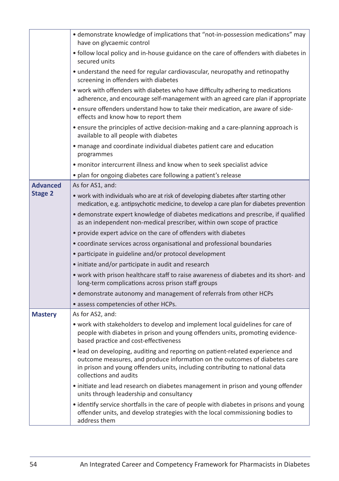|                 | • demonstrate knowledge of implications that "not-in-possession medications" may<br>have on glycaemic control                                                                                                                                                          |
|-----------------|------------------------------------------------------------------------------------------------------------------------------------------------------------------------------------------------------------------------------------------------------------------------|
|                 | • follow local policy and in-house guidance on the care of offenders with diabetes in<br>secured units                                                                                                                                                                 |
|                 | • understand the need for regular cardiovascular, neuropathy and retinopathy<br>screening in offenders with diabetes                                                                                                                                                   |
|                 | • work with offenders with diabetes who have difficulty adhering to medications<br>adherence, and encourage self-management with an agreed care plan if appropriate                                                                                                    |
|                 | • ensure offenders understand how to take their medication, are aware of side-<br>effects and know how to report them                                                                                                                                                  |
|                 | • ensure the principles of active decision-making and a care-planning approach is<br>available to all people with diabetes                                                                                                                                             |
|                 | • manage and coordinate individual diabetes patient care and education<br>programmes                                                                                                                                                                                   |
|                 | · monitor intercurrent illness and know when to seek specialist advice                                                                                                                                                                                                 |
|                 | • plan for ongoing diabetes care following a patient's release                                                                                                                                                                                                         |
| <b>Advanced</b> | As for AS1, and:                                                                                                                                                                                                                                                       |
| <b>Stage 2</b>  | • work with individuals who are at risk of developing diabetes after starting other<br>medication, e.g. antipsychotic medicine, to develop a care plan for diabetes prevention                                                                                         |
|                 | • demonstrate expert knowledge of diabetes medications and prescribe, if qualified<br>as an independent non-medical prescriber, within own scope of practice                                                                                                           |
|                 | • provide expert advice on the care of offenders with diabetes                                                                                                                                                                                                         |
|                 | • coordinate services across organisational and professional boundaries                                                                                                                                                                                                |
|                 | • participate in guideline and/or protocol development                                                                                                                                                                                                                 |
|                 | • initiate and/or participate in audit and research                                                                                                                                                                                                                    |
|                 | . work with prison healthcare staff to raise awareness of diabetes and its short- and<br>long-term complications across prison staff groups                                                                                                                            |
|                 | • demonstrate autonomy and management of referrals from other HCPs                                                                                                                                                                                                     |
|                 | • assess competencies of other HCPs.                                                                                                                                                                                                                                   |
| <b>Mastery</b>  | As for AS2, and:                                                                                                                                                                                                                                                       |
|                 | • work with stakeholders to develop and implement local guidelines for care of<br>people with diabetes in prison and young offenders units, promoting evidence-<br>based practice and cost-effectiveness                                                               |
|                 | • lead on developing, auditing and reporting on patient-related experience and<br>outcome measures, and produce information on the outcomes of diabetes care<br>in prison and young offenders units, including contributing to national data<br>collections and audits |
|                 | • initiate and lead research on diabetes management in prison and young offender<br>units through leadership and consultancy                                                                                                                                           |
|                 | • identify service shortfalls in the care of people with diabetes in prisons and young<br>offender units, and develop strategies with the local commissioning bodies to<br>address them                                                                                |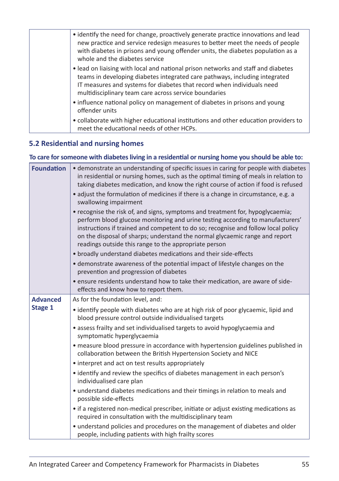| • identify the need for change, proactively generate practice innovations and lead<br>new practice and service redesign measures to better meet the needs of people<br>with diabetes in prisons and young offender units, the diabetes population as a<br>whole and the diabetes service            |
|-----------------------------------------------------------------------------------------------------------------------------------------------------------------------------------------------------------------------------------------------------------------------------------------------------|
| • lead on liaising with local and national prison networks and staff and diabetes<br>teams in developing diabetes integrated care pathways, including integrated<br>IT measures and systems for diabetes that record when individuals need<br>multidisciplinary team care across service boundaries |
| • influence national policy on management of diabetes in prisons and young<br>offender units                                                                                                                                                                                                        |
| • collaborate with higher educational institutions and other education providers to<br>meet the educational needs of other HCPs.                                                                                                                                                                    |

#### **5.2 Residential and nursing homes**

#### **To care for someone with diabetes living in a residential or nursing home you should be able to:**

| <b>Foundation</b> | • demonstrate an understanding of specific issues in caring for people with diabetes<br>in residential or nursing homes, such as the optimal timing of meals in relation to<br>taking diabetes medication, and know the right course of action if food is refused<br>• adjust the formulation of medicines if there is a change in circumstance, e.g. a<br>swallowing impairment<br>• recognise the risk of, and signs, symptoms and treatment for, hypoglycaemia;<br>perform blood glucose monitoring and urine testing according to manufacturers'<br>instructions if trained and competent to do so; recognise and follow local policy<br>on the disposal of sharps; understand the normal glycaemic range and report<br>readings outside this range to the appropriate person<br>• broadly understand diabetes medications and their side-effects<br>• demonstrate awareness of the potential impact of lifestyle changes on the<br>prevention and progression of diabetes<br>· ensure residents understand how to take their medication, are aware of side- |
|-------------------|------------------------------------------------------------------------------------------------------------------------------------------------------------------------------------------------------------------------------------------------------------------------------------------------------------------------------------------------------------------------------------------------------------------------------------------------------------------------------------------------------------------------------------------------------------------------------------------------------------------------------------------------------------------------------------------------------------------------------------------------------------------------------------------------------------------------------------------------------------------------------------------------------------------------------------------------------------------------------------------------------------------------------------------------------------------|
|                   | effects and know how to report them.                                                                                                                                                                                                                                                                                                                                                                                                                                                                                                                                                                                                                                                                                                                                                                                                                                                                                                                                                                                                                             |
| <b>Advanced</b>   | As for the foundation level, and:                                                                                                                                                                                                                                                                                                                                                                                                                                                                                                                                                                                                                                                                                                                                                                                                                                                                                                                                                                                                                                |
| Stage 1           | • identify people with diabetes who are at high risk of poor glycaemic, lipid and<br>blood pressure control outside individualised targets                                                                                                                                                                                                                                                                                                                                                                                                                                                                                                                                                                                                                                                                                                                                                                                                                                                                                                                       |
|                   | • assess frailty and set individualised targets to avoid hypoglycaemia and<br>symptomatic hyperglycaemia                                                                                                                                                                                                                                                                                                                                                                                                                                                                                                                                                                                                                                                                                                                                                                                                                                                                                                                                                         |
|                   | • measure blood pressure in accordance with hypertension guidelines published in<br>collaboration between the British Hypertension Society and NICE                                                                                                                                                                                                                                                                                                                                                                                                                                                                                                                                                                                                                                                                                                                                                                                                                                                                                                              |
|                   | • interpret and act on test results appropriately                                                                                                                                                                                                                                                                                                                                                                                                                                                                                                                                                                                                                                                                                                                                                                                                                                                                                                                                                                                                                |
|                   | • identify and review the specifics of diabetes management in each person's<br>individualised care plan                                                                                                                                                                                                                                                                                                                                                                                                                                                                                                                                                                                                                                                                                                                                                                                                                                                                                                                                                          |
|                   | • understand diabetes medications and their timings in relation to meals and<br>possible side-effects                                                                                                                                                                                                                                                                                                                                                                                                                                                                                                                                                                                                                                                                                                                                                                                                                                                                                                                                                            |
|                   | • if a registered non-medical prescriber, initiate or adjust existing medications as<br>required in consultation with the multidisciplinary team                                                                                                                                                                                                                                                                                                                                                                                                                                                                                                                                                                                                                                                                                                                                                                                                                                                                                                                 |
|                   | • understand policies and procedures on the management of diabetes and older<br>people, including patients with high frailty scores                                                                                                                                                                                                                                                                                                                                                                                                                                                                                                                                                                                                                                                                                                                                                                                                                                                                                                                              |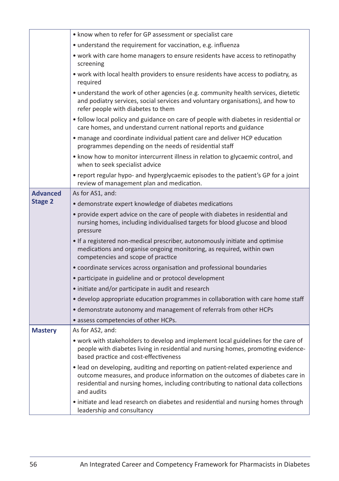|                 | • know when to refer for GP assessment or specialist care                                                                                                                                                                                                           |
|-----------------|---------------------------------------------------------------------------------------------------------------------------------------------------------------------------------------------------------------------------------------------------------------------|
|                 | • understand the requirement for vaccination, e.g. influenza                                                                                                                                                                                                        |
|                 | • work with care home managers to ensure residents have access to retinopathy<br>screening                                                                                                                                                                          |
|                 | • work with local health providers to ensure residents have access to podiatry, as<br>required                                                                                                                                                                      |
|                 | • understand the work of other agencies (e.g. community health services, dietetic<br>and podiatry services, social services and voluntary organisations), and how to<br>refer people with diabetes to them                                                          |
|                 | • follow local policy and guidance on care of people with diabetes in residential or<br>care homes, and understand current national reports and guidance                                                                                                            |
|                 | • manage and coordinate individual patient care and deliver HCP education<br>programmes depending on the needs of residential staff                                                                                                                                 |
|                 | • know how to monitor intercurrent illness in relation to glycaemic control, and<br>when to seek specialist advice                                                                                                                                                  |
|                 | • report regular hypo- and hyperglycaemic episodes to the patient's GP for a joint<br>review of management plan and medication.                                                                                                                                     |
| <b>Advanced</b> | As for AS1, and:                                                                                                                                                                                                                                                    |
| <b>Stage 2</b>  | • demonstrate expert knowledge of diabetes medications                                                                                                                                                                                                              |
|                 | • provide expert advice on the care of people with diabetes in residential and<br>nursing homes, including individualised targets for blood glucose and blood<br>pressure                                                                                           |
|                 | • If a registered non-medical prescriber, autonomously initiate and optimise<br>medications and organise ongoing monitoring, as required, within own<br>competencies and scope of practice                                                                          |
|                 | • coordinate services across organisation and professional boundaries                                                                                                                                                                                               |
|                 | • participate in guideline and or protocol development                                                                                                                                                                                                              |
|                 | • initiate and/or participate in audit and research                                                                                                                                                                                                                 |
|                 | • develop appropriate education programmes in collaboration with care home staff                                                                                                                                                                                    |
|                 | • demonstrate autonomy and management of referrals from other HCPs                                                                                                                                                                                                  |
|                 | • assess competencies of other HCPs.                                                                                                                                                                                                                                |
| <b>Mastery</b>  | As for AS2, and:                                                                                                                                                                                                                                                    |
|                 | • work with stakeholders to develop and implement local guidelines for the care of<br>people with diabetes living in residential and nursing homes, promoting evidence-<br>based practice and cost-effectiveness                                                    |
|                 | · lead on developing, auditing and reporting on patient-related experience and<br>outcome measures, and produce information on the outcomes of diabetes care in<br>residential and nursing homes, including contributing to national data collections<br>and audits |
|                 | • initiate and lead research on diabetes and residential and nursing homes through<br>leadership and consultancy                                                                                                                                                    |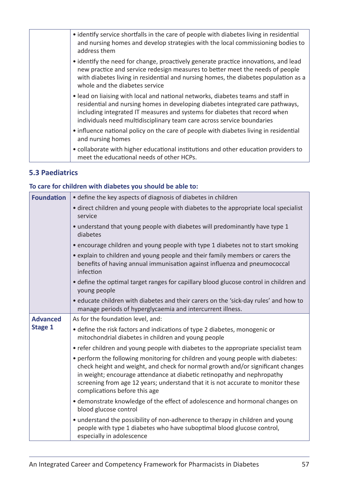| • identify service shortfalls in the care of people with diabetes living in residential<br>and nursing homes and develop strategies with the local commissioning bodies to<br>address them                                                                                                                                 |
|----------------------------------------------------------------------------------------------------------------------------------------------------------------------------------------------------------------------------------------------------------------------------------------------------------------------------|
| • identify the need for change, proactively generate practice innovations, and lead<br>new practice and service redesign measures to better meet the needs of people<br>with diabetes living in residential and nursing homes, the diabetes population as a<br>whole and the diabetes service                              |
| . lead on liaising with local and national networks, diabetes teams and staff in<br>residential and nursing homes in developing diabetes integrated care pathways,<br>including integrated IT measures and systems for diabetes that record when<br>individuals need multidisciplinary team care across service boundaries |
| • influence national policy on the care of people with diabetes living in residential<br>and nursing homes                                                                                                                                                                                                                 |
| • collaborate with higher educational institutions and other education providers to<br>meet the educational needs of other HCPs.                                                                                                                                                                                           |

#### **5.3 Paediatrics**

#### **To care for children with diabetes you should be able to:**

| <b>Foundation</b> | • define the key aspects of diagnosis of diabetes in children                                                                                                                                                                                                                                                                                                      |
|-------------------|--------------------------------------------------------------------------------------------------------------------------------------------------------------------------------------------------------------------------------------------------------------------------------------------------------------------------------------------------------------------|
|                   | • direct children and young people with diabetes to the appropriate local specialist<br>service                                                                                                                                                                                                                                                                    |
|                   | • understand that young people with diabetes will predominantly have type 1<br>diabetes                                                                                                                                                                                                                                                                            |
|                   | • encourage children and young people with type 1 diabetes not to start smoking                                                                                                                                                                                                                                                                                    |
|                   | • explain to children and young people and their family members or carers the<br>benefits of having annual immunisation against influenza and pneumococcal<br>infection                                                                                                                                                                                            |
|                   | • define the optimal target ranges for capillary blood glucose control in children and<br>young people                                                                                                                                                                                                                                                             |
|                   | . educate children with diabetes and their carers on the 'sick-day rules' and how to<br>manage periods of hyperglycaemia and intercurrent illness.                                                                                                                                                                                                                 |
| <b>Advanced</b>   | As for the foundation level, and:                                                                                                                                                                                                                                                                                                                                  |
| Stage 1           | • define the risk factors and indications of type 2 diabetes, monogenic or<br>mitochondrial diabetes in children and young people                                                                                                                                                                                                                                  |
|                   | • refer children and young people with diabetes to the appropriate specialist team                                                                                                                                                                                                                                                                                 |
|                   | • perform the following monitoring for children and young people with diabetes:<br>check height and weight, and check for normal growth and/or significant changes<br>in weight; encourage attendance at diabetic retinopathy and nephropathy<br>screening from age 12 years; understand that it is not accurate to monitor these<br>complications before this age |
|                   | • demonstrate knowledge of the effect of adolescence and hormonal changes on<br>blood glucose control                                                                                                                                                                                                                                                              |
|                   | • understand the possibility of non-adherence to therapy in children and young<br>people with type 1 diabetes who have suboptimal blood glucose control,<br>especially in adolescence                                                                                                                                                                              |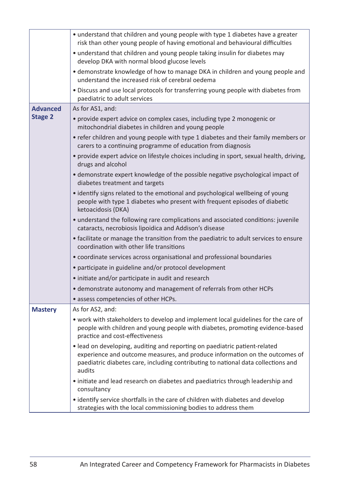|                 | • understand that children and young people with type 1 diabetes have a greater<br>risk than other young people of having emotional and behavioural difficulties                                                                                         |  |  |  |  |
|-----------------|----------------------------------------------------------------------------------------------------------------------------------------------------------------------------------------------------------------------------------------------------------|--|--|--|--|
|                 | • understand that children and young people taking insulin for diabetes may<br>develop DKA with normal blood glucose levels                                                                                                                              |  |  |  |  |
|                 | • demonstrate knowledge of how to manage DKA in children and young people and<br>understand the increased risk of cerebral oedema                                                                                                                        |  |  |  |  |
|                 | • Discuss and use local protocols for transferring young people with diabetes from<br>paediatric to adult services                                                                                                                                       |  |  |  |  |
| <b>Advanced</b> | As for AS1, and:                                                                                                                                                                                                                                         |  |  |  |  |
| <b>Stage 2</b>  | • provide expert advice on complex cases, including type 2 monogenic or<br>mitochondrial diabetes in children and young people                                                                                                                           |  |  |  |  |
|                 | • refer children and young people with type 1 diabetes and their family members or<br>carers to a continuing programme of education from diagnosis                                                                                                       |  |  |  |  |
|                 | • provide expert advice on lifestyle choices including in sport, sexual health, driving,<br>drugs and alcohol                                                                                                                                            |  |  |  |  |
|                 | • demonstrate expert knowledge of the possible negative psychological impact of<br>diabetes treatment and targets                                                                                                                                        |  |  |  |  |
|                 | • identify signs related to the emotional and psychological wellbeing of young<br>people with type 1 diabetes who present with frequent episodes of diabetic<br>ketoacidosis (DKA)                                                                       |  |  |  |  |
|                 | • understand the following rare complications and associated conditions: juvenile<br>cataracts, necrobiosis lipoidica and Addison's disease                                                                                                              |  |  |  |  |
|                 | • facilitate or manage the transition from the paediatric to adult services to ensure<br>coordination with other life transitions                                                                                                                        |  |  |  |  |
|                 | • coordinate services across organisational and professional boundaries                                                                                                                                                                                  |  |  |  |  |
|                 | • participate in guideline and/or protocol development                                                                                                                                                                                                   |  |  |  |  |
|                 | • initiate and/or participate in audit and research                                                                                                                                                                                                      |  |  |  |  |
|                 | • demonstrate autonomy and management of referrals from other HCPs                                                                                                                                                                                       |  |  |  |  |
|                 | • assess competencies of other HCPs.                                                                                                                                                                                                                     |  |  |  |  |
| <b>Mastery</b>  | As for AS2, and:                                                                                                                                                                                                                                         |  |  |  |  |
|                 | • work with stakeholders to develop and implement local guidelines for the care of<br>people with children and young people with diabetes, promoting evidence-based<br>practice and cost-effectiveness                                                   |  |  |  |  |
|                 | • lead on developing, auditing and reporting on paediatric patient-related<br>experience and outcome measures, and produce information on the outcomes of<br>paediatric diabetes care, including contributing to national data collections and<br>audits |  |  |  |  |
|                 | • initiate and lead research on diabetes and paediatrics through leadership and<br>consultancy                                                                                                                                                           |  |  |  |  |
|                 | • identify service shortfalls in the care of children with diabetes and develop<br>strategies with the local commissioning bodies to address them                                                                                                        |  |  |  |  |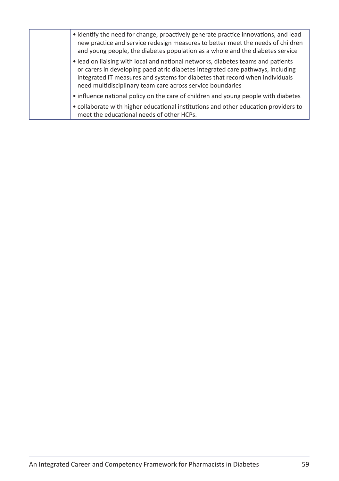| • identify the need for change, proactively generate practice innovations, and lead<br>new practice and service redesign measures to better meet the needs of children<br>and young people, the diabetes population as a whole and the diabetes service                                                           |
|-------------------------------------------------------------------------------------------------------------------------------------------------------------------------------------------------------------------------------------------------------------------------------------------------------------------|
| • lead on liaising with local and national networks, diabetes teams and patients<br>or carers in developing paediatric diabetes integrated care pathways, including<br>integrated IT measures and systems for diabetes that record when individuals<br>need multidisciplinary team care across service boundaries |
| • influence national policy on the care of children and young people with diabetes                                                                                                                                                                                                                                |
| • collaborate with higher educational institutions and other education providers to<br>meet the educational needs of other HCPs.                                                                                                                                                                                  |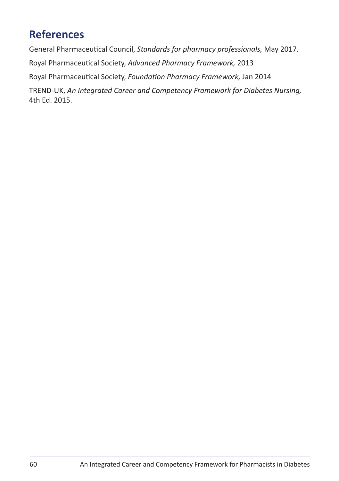## **References**

General Pharmaceutical Council, *Standards for pharmacy professionals,* May 2017. Royal Pharmaceutical Society, *Advanced Pharmacy Framework,* 2013

Royal Pharmaceutical Society, *Foundation Pharmacy Framework,* Jan 2014

TREND-UK, *An Integrated Career and Competency Framework for Diabetes Nursing,* 4th Ed. 2015.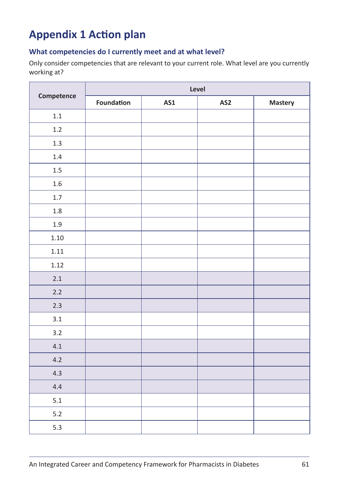## **Appendix 1 Action plan**

#### **What competencies do I currently meet and at what level?**

Only consider competencies that are relevant to your current role. What level are you currently working at?

|            | Level      |            |                 |         |  |
|------------|------------|------------|-----------------|---------|--|
| Competence | Foundation | <b>AS1</b> | AS <sub>2</sub> | Mastery |  |
| $1.1\,$    |            |            |                 |         |  |
| 1.2        |            |            |                 |         |  |
| $1.3\,$    |            |            |                 |         |  |
| 1.4        |            |            |                 |         |  |
| $1.5\,$    |            |            |                 |         |  |
| $1.6\,$    |            |            |                 |         |  |
| 1.7        |            |            |                 |         |  |
| $1.8\,$    |            |            |                 |         |  |
| 1.9        |            |            |                 |         |  |
| $1.10\,$   |            |            |                 |         |  |
| 1.11       |            |            |                 |         |  |
| 1.12       |            |            |                 |         |  |
| 2.1        |            |            |                 |         |  |
| $2.2$      |            |            |                 |         |  |
| 2.3        |            |            |                 |         |  |
| 3.1        |            |            |                 |         |  |
| 3.2        |            |            |                 |         |  |
| 4.1        |            |            |                 |         |  |
| 4.2        |            |            |                 |         |  |
| 4.3        |            |            |                 |         |  |
| 4.4        |            |            |                 |         |  |
| 5.1        |            |            |                 |         |  |
| $5.2$      |            |            |                 |         |  |
| 5.3        |            |            |                 |         |  |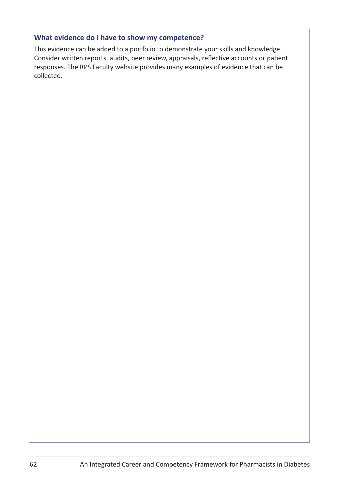#### **What evidence do I have to show my competence?**

This evidence can be added to a portfolio to demonstrate your skills and knowledge. Consider written reports, audits, peer review, appraisals, reflective accounts or patient responses. The RPS Faculty website provides many examples of evidence that can be collected.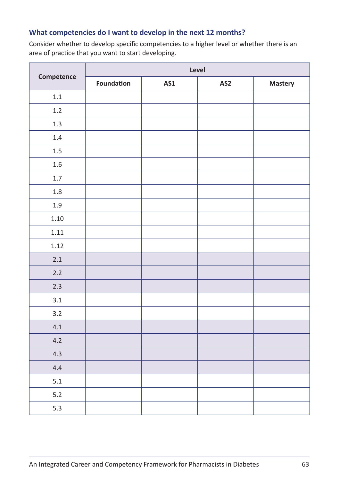#### **What competencies do I want to develop in the next 12 months?**

Consider whether to develop specific competencies to a higher level or whether there is an area of practice that you want to start developing.

|            | Level      |     |                 |         |  |
|------------|------------|-----|-----------------|---------|--|
| Competence | Foundation | AS1 | AS <sub>2</sub> | Mastery |  |
| $1.1\,$    |            |     |                 |         |  |
| 1.2        |            |     |                 |         |  |
| 1.3        |            |     |                 |         |  |
| 1.4        |            |     |                 |         |  |
| 1.5        |            |     |                 |         |  |
| 1.6        |            |     |                 |         |  |
| 1.7        |            |     |                 |         |  |
| $1.8\,$    |            |     |                 |         |  |
| 1.9        |            |     |                 |         |  |
| 1.10       |            |     |                 |         |  |
| 1.11       |            |     |                 |         |  |
| 1.12       |            |     |                 |         |  |
| 2.1        |            |     |                 |         |  |
| 2.2        |            |     |                 |         |  |
| 2.3        |            |     |                 |         |  |
| 3.1        |            |     |                 |         |  |
| 3.2        |            |     |                 |         |  |
| 4.1        |            |     |                 |         |  |
| 4.2        |            |     |                 |         |  |
| 4.3        |            |     |                 |         |  |
| 4.4        |            |     |                 |         |  |
| 5.1        |            |     |                 |         |  |
| $5.2$      |            |     |                 |         |  |
| 5.3        |            |     |                 |         |  |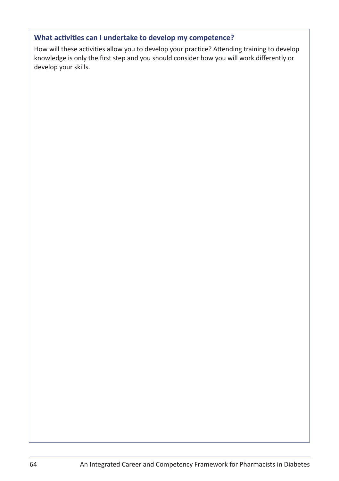#### **What activities can I undertake to develop my competence?**

How will these activities allow you to develop your practice? Attending training to develop knowledge is only the first step and you should consider how you will work differently or develop your skills.